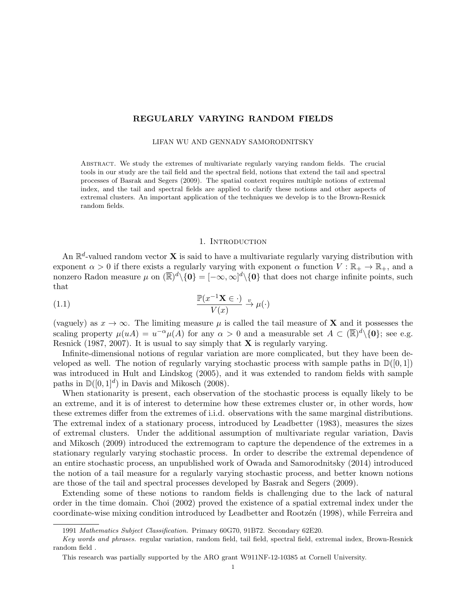# REGULARLY VARYING RANDOM FIELDS

LIFAN WU AND GENNADY SAMORODNITSKY

Abstract. We study the extremes of multivariate regularly varying random fields. The crucial tools in our study are the tail field and the spectral field, notions that extend the tail and spectral processes of Basrak and Segers (2009). The spatial context requires multiple notions of extremal index, and the tail and spectral fields are applied to clarify these notions and other aspects of extremal clusters. An important application of the techniques we develop is to the Brown-Resnick random fields.

### 1. INTRODUCTION

An  $\mathbb{R}^d$ -valued random vector **X** is said to have a multivariate regularly varying distribution with exponent  $\alpha > 0$  if there exists a regularly varying with exponent  $\alpha$  function  $V : \mathbb{R}_+ \to \mathbb{R}_+$ , and a nonzero Radon measure  $\mu$  on  $(\overline{\mathbb{R}})^d \setminus \{0\} = [-\infty, \infty]^d \setminus \{0\}$  that does not charge infinite points, such that

(1.1) 
$$
\frac{\mathbb{P}(x^{-1}\mathbf{X} \in \cdot)}{V(x)} \xrightarrow{\nu} \mu(\cdot)
$$

(vaguely) as  $x \to \infty$ . The limiting measure  $\mu$  is called the tail measure of **X** and it possesses the scaling property  $\mu(uA) = u^{-\alpha}\mu(A)$  for any  $\alpha > 0$  and a measurable set  $A \subset (\mathbb{R})^d \setminus \{0\}$ ; see e.g. Resnick (1987, 2007). It is usual to say simply that  $X$  is regularly varying.

Infinite-dimensional notions of regular variation are more complicated, but they have been developed as well. The notion of regularly varying stochastic process with sample paths in  $\mathbb{D}([0,1])$ was introduced in Hult and Lindskog (2005), and it was extended to random fields with sample paths in  $\mathbb{D}([0,1]^d)$  in Davis and Mikosch (2008).

When stationarity is present, each observation of the stochastic process is equally likely to be an extreme, and it is of interest to determine how these extremes cluster or, in other words, how these extremes differ from the extremes of i.i.d. observations with the same marginal distributions. The extremal index of a stationary process, introduced by Leadbetter (1983), measures the sizes of extremal clusters. Under the additional assumption of multivariate regular variation, Davis and Mikosch (2009) introduced the extremogram to capture the dependence of the extremes in a stationary regularly varying stochastic process. In order to describe the extremal dependence of an entire stochastic process, an unpublished work of Owada and Samorodnitsky (2014) introduced the notion of a tail measure for a regularly varying stochastic process, and better known notions are those of the tail and spectral processes developed by Basrak and Segers (2009).

Extending some of these notions to random fields is challenging due to the lack of natural order in the time domain. Choi (2002) proved the existence of a spatial extremal index under the coordinate-wise mixing condition introduced by Leadbetter and Rootz´en (1998), while Ferreira and

<sup>1991</sup> Mathematics Subject Classification. Primary 60G70, 91B72. Secondary 62E20.

Key words and phrases. regular variation, random field, tail field, spectral field, extremal index, Brown-Resnick random field .

This research was partially supported by the ARO grant W911NF-12-10385 at Cornell University.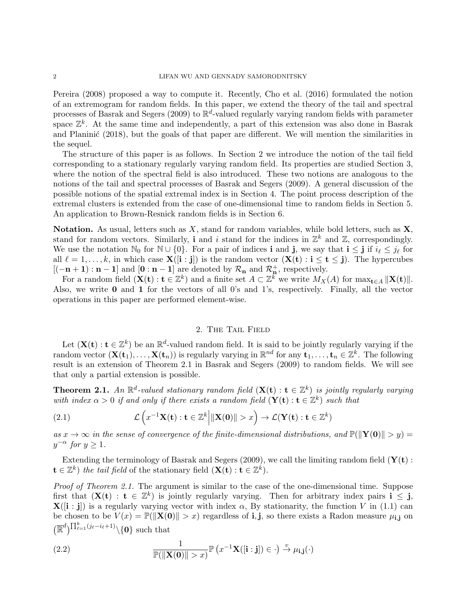Pereira (2008) proposed a way to compute it. Recently, Cho et al. (2016) formulated the notion of an extremogram for random fields. In this paper, we extend the theory of the tail and spectral processes of Basrak and Segers (2009) to  $\mathbb{R}^d$ -valued regularly varying random fields with parameter space  $\mathbb{Z}^k$ . At the same time and independently, a part of this extension was also done in Basrak and Planinic (2018), but the goals of that paper are different. We will mention the similarities in the sequel.

The structure of this paper is as follows. In Section 2 we introduce the notion of the tail field corresponding to a stationary regularly varying random field. Its properties are studied Section 3, where the notion of the spectral field is also introduced. These two notions are analogous to the notions of the tail and spectral processes of Basrak and Segers (2009). A general discussion of the possible notions of the spatial extremal index is in Section 4. The point process description of the extremal clusters is extended from the case of one-dimensional time to random fields in Section 5. An application to Brown-Resnick random fields is in Section 6.

Notation. As usual, letters such as  $X$ , stand for random variables, while bold letters, such as  $X$ , stand for random vectors. Similarly, **i** and *i* stand for the indices in  $\mathbb{Z}^k$  and  $\mathbb{Z}$ , correspondingly. We use the notation  $\mathbb{N}_0$  for  $\mathbb{N} \cup \{0\}$ . For a pair of indices **i** and **j**, we say that  $\mathbf{i} \leq \mathbf{j}$  if  $i_\ell \leq j_\ell$  for all  $\ell = 1, \ldots, k$ , in which case  $\mathbf{X}([\mathbf{i} : \mathbf{j}])$  is the random vector  $(\mathbf{X}(\mathbf{t}) : \mathbf{i} \leq \mathbf{t} \leq \mathbf{j})$ . The hypercubes  $[(-n+1):n-1]$  and  $[0:n-1]$  are denoted by  $\mathcal{R}_{n}$  and  $\mathcal{R}_{n}^{+}$ , respectively.

For a random field  $({\bf X(t): t \in \mathbb{Z}^k})$  and a finite set  $A \subset \mathbb{Z}^k$  we write  $M_X(A)$  for  $\max_{t \in A} ||{\bf X(t)}||$ . Also, we write 0 and 1 for the vectors of all 0's and 1's, respectively. Finally, all the vector operations in this paper are performed element-wise.

## 2. The Tail Field

Let  $(\mathbf{X}(\mathbf{t}): \mathbf{t} \in \mathbb{Z}^k)$  be an  $\mathbb{R}^d$ -valued random field. It is said to be jointly regularly varying if the random vector  $(\mathbf{X}(\mathbf{t}_1), \dots, \mathbf{X}(\mathbf{t}_n))$  is regularly varying in  $\mathbb{R}^{nd}$  for any  $\mathbf{t}_1, \dots, \mathbf{t}_n \in \mathbb{Z}^k$ . The following result is an extension of Theorem 2.1 in Basrak and Segers (2009) to random fields. We will see that only a partial extension is possible.

**Theorem 2.1.** An  $\mathbb{R}^d$ -valued stationary random field  $(X(t): t \in \mathbb{Z}^k)$  is jointly regularly varying with index  $\alpha > 0$  if and only if there exists a random field  $(Y(t): t \in \mathbb{Z}^k)$  such that

(2.1) 
$$
\mathcal{L}\left(x^{-1}\mathbf{X(t)} : \mathbf{t} \in \mathbb{Z}^k \middle| \|\mathbf{X(0)}\| > x\right) \to \mathcal{L}(\mathbf{Y(t)} : \mathbf{t} \in \mathbb{Z}^k)
$$

as  $x \to \infty$  in the sense of convergence of the finite-dimensional distributions, and  $\mathbb{P}(\|\mathbf{Y}(\mathbf{0})\| > y) =$  $y^{-\alpha}$  for  $y \geq 1$ .

Extending the terminology of Basrak and Segers (2009), we call the limiting random field  $(Y(t))$ :  $\mathbf{t} \in \mathbb{Z}^k$ ) the tail field of the stationary field  $(\mathbf{X}(\mathbf{t}): \mathbf{t} \in \mathbb{Z}^k)$ .

Proof of Theorem 2.1. The argument is similar to the case of the one-dimensional time. Suppose first that  $(X(t) : t \in \mathbb{Z}^k)$  is jointly regularly varying. Then for arbitrary index pairs  $i \leq j$ ,  ${\bf X}([i:j])$  is a regularly varying vector with index  $\alpha$ , By stationarity, the function V in (1.1) can be chosen to be  $V(x) = \mathbb{P}(\|\mathbf{X}(0)\| > x)$  regardless of i,j, so there exists a Radon measure  $\mu_{i,j}$  on  $(\mathbb{R}^d)^{\prod_{\ell=1}^k (j_\ell-i_\ell+1)} \setminus \{\mathbf{0}\}\$  such that

(2.2) 
$$
\frac{1}{\mathbb{P}(\|\mathbf{X}(\mathbf{0})\| > x)} \mathbb{P}(x^{-1}\mathbf{X}([\mathbf{i}:\mathbf{j}]) \in \cdot) \xrightarrow{v} \mu_{\mathbf{i},\mathbf{j}}(\cdot)
$$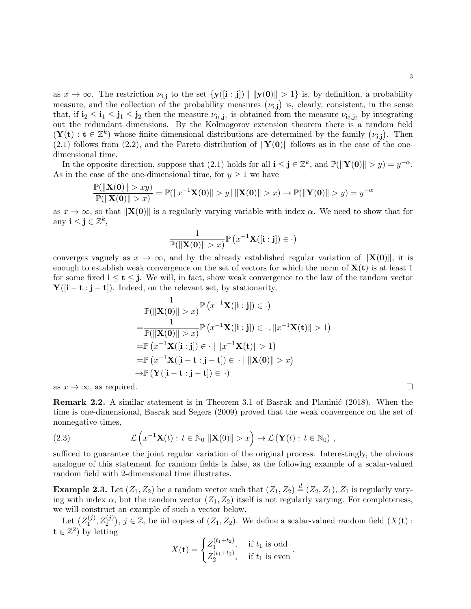as  $x \to \infty$ . The restriction  $\nu_{i,j}$  to the set  $\{y([i:j]) \mid ||y(0)|| > 1\}$  is, by definition, a probability measure, and the collection of the probability measures  $(\nu_{i,j})$  is, clearly, consistent, in the sense that, if  $i_2 \leq i_1 \leq j_1 \leq j_2$  then the measure  $\nu_{i_1,j_1}$  is obtained from the measure  $\nu_{i_2,j_2}$  by integrating out the redundant dimensions. By the Kolmogorov extension theorem there is a random field  $(\mathbf{Y}(t) : t \in \mathbb{Z}^k)$  whose finite-dimensional distributions are determined by the family  $(\nu_{i,j})$ . Then (2.1) follows from (2.2), and the Pareto distribution of  $||\mathbf{Y}(0)||$  follows as in the case of the onedimensional time.

In the opposite direction, suppose that (2.1) holds for all  $\mathbf{i} \leq \mathbf{j} \in \mathbb{Z}^k$ , and  $\mathbb{P}(\|\mathbf{Y(0)}\| > y) = y^{-\alpha}$ . As in the case of the one-dimensional time, for  $y \geq 1$  we have

$$
\frac{\mathbb{P}(\|\mathbf{X(0)}\| > xy)}{\mathbb{P}(\|\mathbf{X(0)}\| > x)} = \mathbb{P}(\|x^{-1}\mathbf{X(0)}\| > y \mid \|\mathbf{X(0)}\| > x) \to \mathbb{P}(\|\mathbf{Y(0)}\| > y) = y^{-\alpha}
$$

as  $x \to \infty$ , so that  $\|\mathbf{X}(0)\|$  is a regularly varying variable with index  $\alpha$ . We need to show that for any  $\mathbf{i} \leq \mathbf{j} \in \mathbb{Z}^k$ ,

$$
\frac{1}{\mathbb{P}(\|\mathbf{X}(\mathbf{0})\| > x)} \mathbb{P}\left(x^{-1}\mathbf{X}([\mathbf{i}:\mathbf{j}]) \in \cdot\right)
$$

converges vaguely as  $x \to \infty$ , and by the already established regular variation of  $||\mathbf{X}(0)||$ , it is enough to establish weak convergence on the set of vectors for which the norm of  $X(t)$  is at least 1 for some fixed  $i \le t \le j$ . We will, in fact, show weak convergence to the law of the random vector  $Y([i - t : j - t])$ . Indeed, on the relevant set, by stationarity,

$$
\frac{1}{\mathbb{P}(\|\mathbf{X}(\mathbf{0})\| > x)} \mathbb{P}\left(x^{-1}\mathbf{X}([\mathbf{i}:\mathbf{j}]) \in \cdot\right)
$$
\n
$$
= \frac{1}{\mathbb{P}(\|\mathbf{X}(\mathbf{0})\| > x)} \mathbb{P}\left(x^{-1}\mathbf{X}([\mathbf{i}:\mathbf{j}]) \in \cdot, \|x^{-1}\mathbf{X}(\mathbf{t})\| > 1\right)
$$
\n
$$
= \mathbb{P}\left(x^{-1}\mathbf{X}([\mathbf{i}:\mathbf{j}]) \in \cdot \|\|x^{-1}\mathbf{X}(\mathbf{t})\| > 1\right)
$$
\n
$$
= \mathbb{P}\left(x^{-1}\mathbf{X}([\mathbf{i}-\mathbf{t}:\mathbf{j}-\mathbf{t}]) \in \cdot \|\|\mathbf{X}(\mathbf{0})\| > x\right)
$$
\n
$$
\to \mathbb{P}\left(\mathbf{Y}([\mathbf{i}-\mathbf{t}:\mathbf{j}-\mathbf{t}]) \in \cdot\right)
$$

as  $x \to \infty$ , as required.

**Remark 2.2.** A similar statement is in Theorem 3.1 of Basrak and Planinić (2018). When the time is one-dimensional, Basrak and Segers (2009) proved that the weak convergence on the set of nonnegative times,

(2.3) 
$$
\mathcal{L}\left(x^{-1}\mathbf{X}(t): t \in \mathbb{N}_0 \middle| \|\mathbf{X}(0)\| > x\right) \to \mathcal{L}\left(\mathbf{Y}(t): t \in \mathbb{N}_0\right),
$$

sufficed to guarantee the joint regular variation of the original process. Interestingly, the obvious analogue of this statement for random fields is false, as the following example of a scalar-valued random field with 2-dimensional time illustrates.

**Example 2.3.** Let  $(Z_1, Z_2)$  be a random vector such that  $(Z_1, Z_2) \stackrel{d}{=} (Z_2, Z_1)$ ,  $Z_1$  is regularly varying with index  $\alpha$ , but the random vector  $(Z_1, Z_2)$  itself is not regularly varying. For completeness, we will construct an example of such a vector below.

Let  $(Z_1^{(j)}$  $(1, 2, 2^{(j)}), j \in \mathbb{Z}$ , be iid copies of  $(Z_1, Z_2)$ . We define a scalar-valued random field  $(X(\mathbf{t}) :$  $\mathbf{t} \in \mathbb{Z}^2$  by letting

$$
X(\mathbf{t}) = \begin{cases} Z_1^{(t_1+t_2)}, & \text{if } t_1 \text{ is odd} \\ Z_2^{(t_1+t_2)}, & \text{if } t_1 \text{ is even} \end{cases}.
$$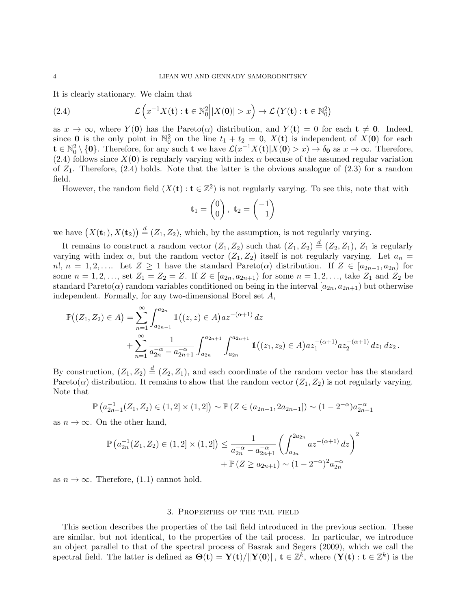It is clearly stationary. We claim that

(2.4) 
$$
\mathcal{L}\left(x^{-1}X(\mathbf{t}): \mathbf{t} \in \mathbb{N}_0^2 \middle| |X(\mathbf{0})| > x\right) \to \mathcal{L}\left(Y(\mathbf{t}): \mathbf{t} \in \mathbb{N}_0^2\right)
$$

as  $x \to \infty$ , where  $Y(0)$  has the Pareto( $\alpha$ ) distribution, and  $Y(t) = 0$  for each  $t \neq 0$ . Indeed, since **0** is the only point in  $\mathbb{N}_0^2$  on the line  $t_1 + t_2 = 0$ ,  $X(t)$  is independent of  $X(0)$  for each  $\mathbf{t} \in \mathbb{N}_0^2 \setminus \{\mathbf{0}\}.$  Therefore, for any such  $\mathbf{t}$  we have  $\mathcal{L}(x^{-1}X(\mathbf{t})|X(\mathbf{0}) > x) \to \delta_{\mathbf{0}}$  as  $x \to \infty$ . Therefore, (2.4) follows since  $X(0)$  is regularly varying with index  $\alpha$  because of the assumed regular variation of  $Z_1$ . Therefore, (2.4) holds. Note that the latter is the obvious analogue of (2.3) for a random field.

However, the random field  $(X(t): t \in \mathbb{Z}^2)$  is not regularly varying. To see this, note that with

$$
\mathbf{t}_1 = \begin{pmatrix} 0 \\ 0 \end{pmatrix}, \ \mathbf{t}_2 = \begin{pmatrix} -1 \\ 1 \end{pmatrix}
$$

we have  $(X(\mathbf{t}_1), X(\mathbf{t}_2)) \stackrel{d}{=} (Z_1, Z_2)$ , which, by the assumption, is not regularly varying.

It remains to construct a random vector  $(Z_1, Z_2)$  such that  $(Z_1, Z_2) \stackrel{d}{=} (Z_2, Z_1)$ ,  $Z_1$  is regularly varying with index  $\alpha$ , but the random vector  $(Z_1, Z_2)$  itself is not regularly varying. Let  $a_n =$  $n!$ ,  $n = 1, 2, \ldots$  Let  $Z \ge 1$  have the standard Pareto( $\alpha$ ) distribution. If  $Z \in [a_{2n-1}, a_{2n})$  for some  $n = 1, 2, ...,$  set  $Z_1 = Z_2 = Z$ . If  $Z \in [a_{2n}, a_{2n+1})$  for some  $n = 1, 2, ...,$  take  $Z_1$  and  $Z_2$  be standard Pareto( $\alpha$ ) random variables conditioned on being in the interval  $[a_{2n}, a_{2n+1})$  but otherwise independent. Formally, for any two-dimensional Borel set A,

$$
\mathbb{P}((Z_1, Z_2) \in A) = \sum_{n=1}^{\infty} \int_{a_{2n-1}}^{a_{2n}} \mathbb{1}((z, z) \in A) az^{-(\alpha+1)} dz \n+ \sum_{n=1}^{\infty} \frac{1}{a_{2n}^{-\alpha} - a_{2n+1}^{-\alpha}} \int_{a_{2n}}^{a_{2n+1}} \int_{a_{2n}}^{a_{2n+1}} \mathbb{1}((z_1, z_2) \in A) az_1^{-(\alpha+1)} az_2^{-(\alpha+1)} dz_1 dz_2.
$$

By construction,  $(Z_1, Z_2) \stackrel{d}{=} (Z_2, Z_1)$ , and each coordinate of the random vector has the standard Pareto( $\alpha$ ) distribution. It remains to show that the random vector  $(Z_1, Z_2)$  is not regularly varying. Note that

$$
\mathbb{P}\left(a_{2n-1}^{-1}(Z_1, Z_2) \in (1,2] \times (1,2]\right) \sim \mathbb{P}\left(Z \in (a_{2n-1}, 2a_{2n-1}]\right) \sim (1-2^{-\alpha})a_{2n-1}^{-\alpha}
$$

as  $n \to \infty$ . On the other hand,

$$
\mathbb{P}\left(a_{2n}^{-1}(Z_1, Z_2) \in (1, 2] \times (1, 2]\right) \le \frac{1}{a_{2n}^{-\alpha} - a_{2n+1}^{-\alpha}} \left(\int_{a_{2n}}^{2a_{2n}} az^{-(\alpha+1)} dz\right)^2
$$

$$
+ \mathbb{P}\left(Z \ge a_{2n+1}\right) \sim (1 - 2^{-\alpha})^2 a_{2n}^{-\alpha}
$$

as  $n \to \infty$ . Therefore, (1.1) cannot hold.

#### 3. Properties of the tail field

This section describes the properties of the tail field introduced in the previous section. These are similar, but not identical, to the properties of the tail process. In particular, we introduce an object parallel to that of the spectral process of Basrak and Segers (2009), which we call the spectral field. The latter is defined as  $\Theta(\mathbf{t}) = \mathbf{Y}(\mathbf{t})/||\mathbf{Y}(\mathbf{0})||$ ,  $\mathbf{t} \in \mathbb{Z}^k$ , where  $(\mathbf{Y}(\mathbf{t}): \mathbf{t} \in \mathbb{Z}^k)$  is the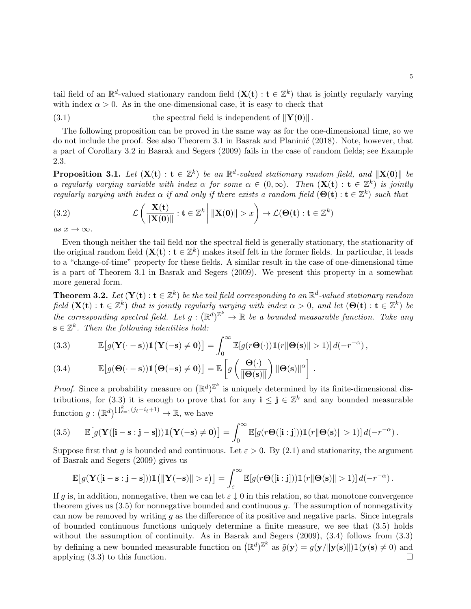tail field of an  $\mathbb{R}^d$ -valued stationary random field  $(\mathbf{X}(\mathbf{t}) : \mathbf{t} \in \mathbb{Z}^k)$  that is jointly regularly varying with index  $\alpha > 0$ . As in the one-dimensional case, it is easy to check that

(3.1) the spectral field is independent of 
$$
\|\mathbf{Y}(\mathbf{0})\|
$$
.

The following proposition can be proved in the same way as for the one-dimensional time, so we do not include the proof. See also Theorem 3.1 in Basrak and Planinic (2018). Note, however, that a part of Corollary 3.2 in Basrak and Segers (2009) fails in the case of random fields; see Example 2.3.

**Proposition 3.1.** Let  $(X(t) : t \in \mathbb{Z}^k)$  be an  $\mathbb{R}^d$ -valued stationary random field, and  $||X(0)||$  be a regularly varying variable with index  $\alpha$  for some  $\alpha \in (0,\infty)$ . Then  $(\mathbf{X}(t) : t \in \mathbb{Z}^k)$  is jointly regularly varying with index  $\alpha$  if and only if there exists a random field  $(\Theta(\mathbf{t}) : \mathbf{t} \in \mathbb{Z}^k)$  such that

(3.2) 
$$
\mathcal{L}\left(\frac{\mathbf{X}(\mathbf{t})}{\|\mathbf{X}(\mathbf{0})\|} : \mathbf{t} \in \mathbb{Z}^k \middle| \|\mathbf{X}(\mathbf{0})\| > x\right) \to \mathcal{L}(\Theta(\mathbf{t}) : \mathbf{t} \in \mathbb{Z}^k)
$$

as  $x \to \infty$ .

Even though neither the tail field nor the spectral field is generally stationary, the stationarity of the original random field  $(X(t): t \in \mathbb{Z}^k)$  makes itself felt in the former fields. In particular, it leads to a "change-of-time" property for these fields. A similar result in the case of one-dimensional time is a part of Theorem 3.1 in Basrak and Segers (2009). We present this property in a somewhat more general form.

**Theorem 3.2.** Let  $(\mathbf{Y}(t): t \in \mathbb{Z}^k)$  be the tail field corresponding to an  $\mathbb{R}^d$ -valued stationary random field  $(\mathbf{X}(\mathbf{t}): \mathbf{t} \in \mathbb{Z}^k)$  that is jointly regularly varying with index  $\alpha > 0$ , and let  $(\mathbf{\Theta}(\mathbf{t}): \mathbf{t} \in \mathbb{Z}^k)$  be the corresponding spectral field. Let  $g: (\mathbb{R}^d)^{\mathbb{Z}^k} \to \mathbb{R}$  be a bounded measurable function. Take any  $\mathbf{s} \in \mathbb{Z}^k$ . Then the following identities hold:

(3.3) 
$$
\mathbb{E}\big[g(\mathbf{Y}(\cdot - \mathbf{s}))\mathbb{1}\big(\mathbf{Y}(-\mathbf{s}) \neq \mathbf{0}\big)\big] = \int_0^\infty \mathbb{E}[g(r\mathbf{\Theta}(\cdot))\mathbb{1}(r\|\mathbf{\Theta}(\mathbf{s})\| > 1)] d(-r^{-\alpha}),
$$

(3.4) 
$$
\mathbb{E}\big[g(\Theta(\cdot - \mathbf{s}))\mathbb{1}\big(\Theta(-\mathbf{s}) \neq \mathbf{0}\big)\big] = \mathbb{E}\left[g\left(\frac{\Theta(\cdot)}{\|\Theta(\mathbf{s})\|}\right)\|\Theta(\mathbf{s})\|^{\alpha}\right].
$$

*Proof.* Since a probability measure on  $(\mathbb{R}^d)^{\mathbb{Z}^k}$  is uniquely determined by its finite-dimensional distributions, for (3.3) it is enough to prove that for any  $\mathbf{i} \leq \mathbf{j} \in \mathbb{Z}^k$  and any bounded measurable function  $g: (\mathbb{R}^d)^{\prod_{\ell=1}^k (j_\ell - i_\ell + 1)} \to \mathbb{R}$ , we have

(3.5) 
$$
\mathbb{E}\big[g(\mathbf{Y}([i-s:j-s]))\mathbb{1}\big(\mathbf{Y}(-s)\neq 0\big)\big] = \int_0^\infty \mathbb{E}[g(r\Theta([i:j]))\mathbb{1}(r\|\Theta(s)\| > 1)]\,d(-r^{-\alpha}).
$$

Suppose first that g is bounded and continuous. Let  $\varepsilon > 0$ . By (2.1) and stationarity, the argument of Basrak and Segers (2009) gives us

$$
\mathbb{E}\big[g(\mathbf{Y}([i-s:j-s]))\mathbb{1}\big(||\mathbf{Y}(-s)||>\varepsilon\big)\big] = \int_{\varepsilon}^{\infty} \mathbb{E}[g(r\Theta([i:j]))\mathbb{1}(r||\Theta(s)||>1)]\,d(-r^{-\alpha}).
$$

If g is, in addition, nonnegative, then we can let  $\varepsilon \downarrow 0$  in this relation, so that monotone convergence theorem gives us  $(3.5)$  for nonnegative bounded and continuous g. The assumption of nonnegativity can now be removed by writing  $g$  as the difference of its positive and negative parts. Since integrals of bounded continuous functions uniquely determine a finite measure, we see that (3.5) holds without the assumption of continuity. As in Basrak and Segers (2009), (3.4) follows from (3.3) by defining a new bounded measurable function on  $(\mathbb{R}^d)^{\mathbb{Z}^k}$  as  $\tilde{g}(\mathbf{y}) = g(\mathbf{y}/\|\mathbf{y}(\mathbf{s})\|) \mathbb{1}(\mathbf{y}(\mathbf{s}) \neq 0)$  and applying  $(3.3)$  to this function.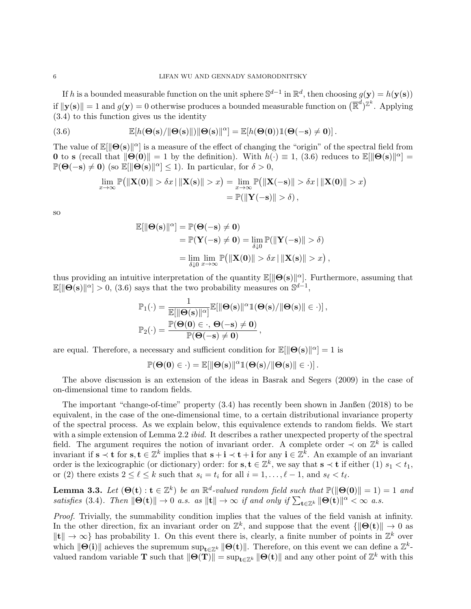If h is a bounded measurable function on the unit sphere  $\mathbb{S}^{d-1}$  in  $\mathbb{R}^d$ , then choosing  $g(\mathbf{y}) = h(\mathbf{y}(\mathbf{s}))$ if  $\|\mathbf{y(s)}\| = 1$  and  $g(\mathbf{y}) = 0$  otherwise produces a bounded measurable function on  $(\mathbb{R}^d)^{\mathbb{Z}^k}$ . Applying (3.4) to this function gives us the identity

(3.6) 
$$
\mathbb{E}[h(\Theta(\mathbf{s})/\|\Theta(\mathbf{s})\|)\|\Theta(\mathbf{s})\|^{\alpha}] = \mathbb{E}[h(\Theta(\mathbf{0}))\mathbb{1}(\Theta(-\mathbf{s})\neq \mathbf{0})].
$$

The value of  $\mathbb{E}[\|\Theta(s)\|^{\alpha}]$  is a measure of the effect of changing the "origin" of the spectral field from **0** to s (recall that  $\|\Theta(\mathbf{0})\| = 1$  by the definition). With  $h(\cdot) \equiv 1$ , (3.6) reduces to  $\mathbb{E}[\|\Theta(s)\|^{\alpha}] =$  $\mathbb{P}(\Theta(-\mathbf{s}) \neq \mathbf{0})$  (so  $\mathbb{E}[\|\Theta(\mathbf{s})\|^{\alpha}] \leq 1$ ). In particular, for  $\delta > 0$ ,

$$
\lim_{x \to \infty} \mathbb{P} \big( \Vert \mathbf{X}(0) \Vert > \delta x \Vert \Vert \mathbf{X}(s) \Vert > x \big) = \lim_{x \to \infty} \mathbb{P} \big( \Vert \mathbf{X}(-s) \Vert > \delta x \Vert \Vert \mathbf{X}(0) \Vert > x \big)
$$

$$
= \mathbb{P} \big( \Vert \mathbf{Y}(-s) \Vert > \delta \big),
$$

so

$$
\mathbb{E}[\|\Theta(\mathbf{s})\|^{\alpha}] = \mathbb{P}(\Theta(-\mathbf{s}) \neq \mathbf{0})
$$
  
= 
$$
\mathbb{P}(\mathbf{Y}(-\mathbf{s}) \neq \mathbf{0}) = \lim_{\delta \downarrow 0} \mathbb{P}(\|\mathbf{Y}(-\mathbf{s})\| > \delta)
$$
  
= 
$$
\lim_{\delta \downarrow 0} \lim_{x \to \infty} \mathbb{P}(\|\mathbf{X}(\mathbf{0})\| > \delta x \,|\, \|\mathbf{X}(\mathbf{s})\| > x),
$$

thus providing an intuitive interpretation of the quantity  $\mathbb{E}[\|\Theta(s)\|^{\alpha}]$ . Furthermore, assuming that  $\mathbb{E}[\|\Theta(\mathbf{s})\|^{\alpha}] > 0$ , (3.6) says that the two probability measures on  $\mathbb{S}^{d-1}$ ,

$$
\begin{aligned} &\mathbb{P}_1(\cdot) = \frac{1}{\mathbb{E}[\|\Theta(s)\|^{\alpha}]} \mathbb{E}[\|\Theta(s)\|^{\alpha} \mathbb{1}(\Theta(s)/\|\Theta(s)\| \in \cdot)]\,,\\ &\mathbb{P}_2(\cdot) = \frac{\mathbb{P}(\Theta(0) \in \cdot, \, \Theta(-s) \neq 0)}{\mathbb{P}(\Theta(-s) \neq 0)}\,, \end{aligned}
$$

are equal. Therefore, a necessary and sufficient condition for  $\mathbb{E}[\|\Theta(s)\|^{\alpha}] = 1$  is

$$
\mathbb{P}(\Theta(0) \in \cdot) = \mathbb{E}[\|\Theta(s)\|^\alpha \mathbb{1}(\Theta(s)/\|\Theta(s)\| \in \cdot)].
$$

The above discussion is an extension of the ideas in Basrak and Segers (2009) in the case of on-dimensional time to random fields.

The important "change-of-time" property (3.4) has recently been shown in Janßen (2018) to be equivalent, in the case of the one-dimensional time, to a certain distributional invariance property of the spectral process. As we explain below, this equivalence extends to random fields. We start with a simple extension of Lemma 2.2 *ibid.* It describes a rather unexpected property of the spectral field. The argument requires the notion of invariant order. A complete order  $\prec$  on  $\mathbb{Z}^k$  is called invariant if  $s \prec t$  for  $s, t \in \mathbb{Z}^k$  implies that  $s + i \prec t + i$  for any  $i \in \mathbb{Z}^{\bar{k}}$ . An example of an invariant order is the lexicographic (or dictionary) order: for  $s, t \in \mathbb{Z}^k$ , we say that  $s \prec t$  if either (1)  $s_1 < t_1$ , or (2) there exists  $2 \leq \ell \leq k$  such that  $s_i = t_i$  for all  $i = 1, \ldots, \ell - 1$ , and  $s_{\ell} < t_{\ell}$ .

**Lemma 3.3.** Let  $(\Theta(\mathbf{t}) : \mathbf{t} \in \mathbb{Z}^k)$  be an  $\mathbb{R}^d$ -valued random field such that  $\mathbb{P}(\|\Theta(\mathbf{0})\| = 1) = 1$  and satisfies (3.4). Then  $\|\Theta(\mathbf{t})\| \to 0$  a.s. as  $\|\mathbf{t}\| \to \infty$  if and only if  $\sum_{\mathbf{t}\in\mathbb{Z}^k} \|\Theta(\mathbf{t})\|^{\alpha} < \infty$  a.s.

Proof. Trivially, the summability condition implies that the values of the field vanish at infinity. In the other direction, fix an invariant order on  $\mathbb{Z}^k$ , and suppose that the event  $\{\|\Theta(t)\|\to 0\}$  as  $\|\mathbf{t}\| \to \infty$  has probability 1. On this event there is, clearly, a finite number of points in  $\mathbb{Z}^k$  over which  $\|\Theta(i)\|$  achieves the supremum  $\sup_{\mathbf{t}\in\mathbb{Z}^k} \|\Theta(\mathbf{t})\|$ . Therefore, on this event we can define a  $\mathbb{Z}^k$ valued random variable **T** such that  $\|\Theta(\mathbf{T})\| = \sup_{\mathbf{t}\in\mathbb{Z}^k} \|\Theta(\mathbf{t})\|$  and any other point of  $\mathbb{Z}^k$  with this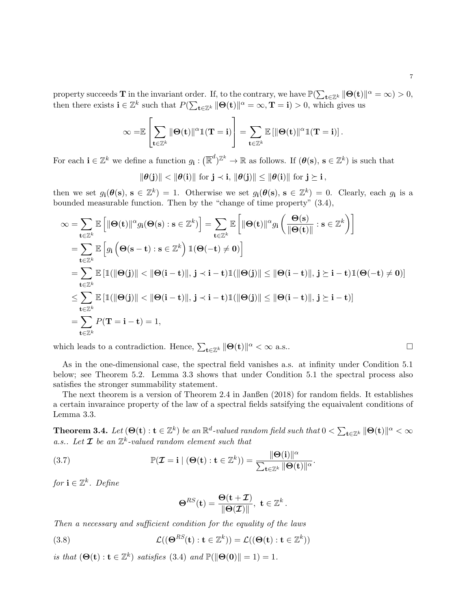property succeeds **T** in the invariant order. If, to the contrary, we have  $\mathbb{P}(\sum_{t \in \mathbb{Z}^k} ||\Theta(t)||^{\alpha} = \infty) > 0$ , then there exists  $\mathbf{i} \in \mathbb{Z}^k$  such that  $P(\sum_{\mathbf{t} \in \mathbb{Z}^k} ||\Theta(\mathbf{t})||^\alpha = \infty, \mathbf{T} = \mathbf{i}) > 0$ , which gives us

$$
\infty = \mathbb{E}\left[\sum_{\mathbf{t}\in\mathbb{Z}^k} \|\Theta(\mathbf{t})\|^{\alpha} \mathbb{1}(\mathbf{T}=\mathbf{i})\right] = \sum_{\mathbf{t}\in\mathbb{Z}^k} \mathbb{E}\left[\|\Theta(\mathbf{t})\|^{\alpha} \mathbb{1}(\mathbf{T}=\mathbf{i})\right].
$$

For each  $\mathbf{i} \in \mathbb{Z}^k$  we define a function  $g_{\mathbf{i}}: (\mathbb{R}^d)^{\mathbb{Z}^k} \to \mathbb{R}$  as follows. If  $(\theta(\mathbf{s}), \mathbf{s} \in \mathbb{Z}^k)$  is such that

$$
\|\theta(j)\| < \|\theta(i)\| \text{ for } j \prec i, \, \|\theta(j)\| \le \|\theta(i)\| \text{ for } j \succeq i \, ,
$$

then we set  $g_i(\theta(s), s \in \mathbb{Z}^k) = 1$ . Otherwise we set  $g_i(\theta(s), s \in \mathbb{Z}^k) = 0$ . Clearly, each  $g_i$  is a bounded measurable function. Then by the "change of time property" (3.4),

$$
\infty = \sum_{\mathbf{t} \in \mathbb{Z}^k} \mathbb{E} \left[ \|\Theta(\mathbf{t})\|^{\alpha} g_i(\Theta(\mathbf{s}) : \mathbf{s} \in \mathbb{Z}^k) \right] = \sum_{\mathbf{t} \in \mathbb{Z}^k} \mathbb{E} \left[ \|\Theta(\mathbf{t})\|^{\alpha} g_i \left( \frac{\Theta(\mathbf{s})}{\|\Theta(\mathbf{t})\|} : \mathbf{s} \in \mathbb{Z}^k \right) \right]
$$
  
\n
$$
= \sum_{\mathbf{t} \in \mathbb{Z}^k} \mathbb{E} \left[ g_i \left( \Theta(\mathbf{s} - \mathbf{t}) : \mathbf{s} \in \mathbb{Z}^k \right) \mathbb{1}(\Theta(-\mathbf{t}) \neq \mathbf{0}) \right]
$$
  
\n
$$
= \sum_{\mathbf{t} \in \mathbb{Z}^k} \mathbb{E} \left[ \mathbb{1}(\|\Theta(\mathbf{j})\| < \|\Theta(\mathbf{i} - \mathbf{t})\|, \mathbf{j} \prec \mathbf{i} - \mathbf{t}) \mathbb{1}(\|\Theta(\mathbf{j})\| \le \|\Theta(\mathbf{i} - \mathbf{t})\|, \mathbf{j} \ge \mathbf{i} - \mathbf{t}) \mathbb{1}(\Theta(-\mathbf{t}) \ne \mathbf{0}) \right]
$$
  
\n
$$
\le \sum_{\mathbf{t} \in \mathbb{Z}^k} \mathbb{E} \left[ \mathbb{1}(\|\Theta(\mathbf{j})\| < \|\Theta(\mathbf{i} - \mathbf{t})\|, \mathbf{j} \prec \mathbf{i} - \mathbf{t}) \mathbb{1}(\|\Theta(\mathbf{j})\| \le \|\Theta(\mathbf{i} - \mathbf{t})\|, \mathbf{j} \ge \mathbf{i} - \mathbf{t}) \right]
$$
  
\n
$$
= \sum_{\mathbf{t} \in \mathbb{Z}^k} P(\mathbf{T} = \mathbf{i} - \mathbf{t}) = 1,
$$

which leads to a contradiction. Hence,  $\sum_{\mathbf{t}\in\mathbb{Z}^k} ||\mathbf{\Theta}(\mathbf{t})||^\alpha < \infty$  a.s..

As in the one-dimensional case, the spectral field vanishes a.s. at infinity under Condition 5.1 below; see Theorem 5.2. Lemma 3.3 shows that under Condition 5.1 the spectral process also satisfies the stronger summability statement.

The next theorem is a version of Theorem 2.4 in Janßen (2018) for random fields. It establishes a certain invaraince property of the law of a spectral fields satsifying the equaivalent conditions of Lemma 3.3.

**Theorem 3.4.** Let  $(\mathbf{\Theta(t)} : \mathbf{t} \in \mathbb{Z}^k)$  be an  $\mathbb{R}^d$ -valued random field such that  $0 < \sum_{\mathbf{t} \in \mathbb{Z}^k} \| \mathbf{\Theta(t)} \|^{\alpha} < \infty$ a.s.. Let  $\mathcal I$  be an  $\mathbb Z^k$ -valued random element such that

(3.7) 
$$
\mathbb{P}(\mathcal{I} = \mathbf{i} \mid (\mathbf{\Theta}(\mathbf{t}) : \mathbf{t} \in \mathbb{Z}^k)) = \frac{\|\mathbf{\Theta}(\mathbf{i})\|^{\alpha}}{\sum_{\mathbf{t} \in \mathbb{Z}^k} \|\mathbf{\Theta}(\mathbf{t})\|^{\alpha}}.
$$

for  $\mathbf{i} \in \mathbb{Z}^k$ . Define

$$
\mathbf{\Theta}^{RS}(\mathbf{t}) = \frac{\mathbf{\Theta}(\mathbf{t} + \mathcal{I})}{\|\mathbf{\Theta}(\mathcal{I})\|}, \ \mathbf{t} \in \mathbb{Z}^k.
$$

Then a necessary and sufficient condition for the equality of the laws

(3.8) 
$$
\mathcal{L}((\mathbf{\Theta}^{RS}(\mathbf{t}):\mathbf{t}\in\mathbb{Z}^k))=\mathcal{L}((\mathbf{\Theta}(\mathbf{t}):\mathbf{t}\in\mathbb{Z}^k))
$$

is that  $(\mathbf{\Theta}(\mathbf{t}): \mathbf{t} \in \mathbb{Z}^k)$  satisfies (3.4) and  $\mathbb{P}(\|\mathbf{\Theta}(\mathbf{0})\| = 1) = 1$ .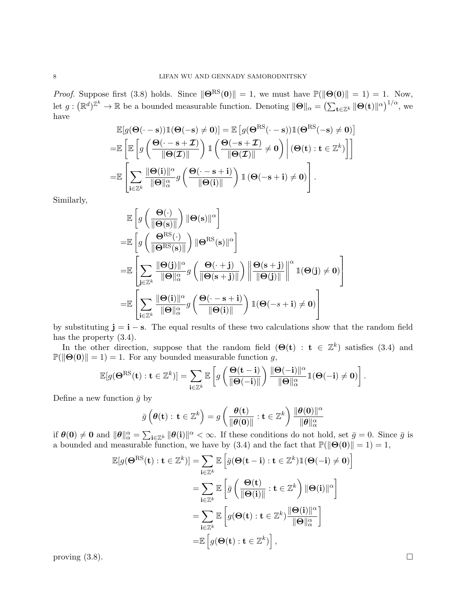*Proof.* Suppose first (3.8) holds. Since  $\|\Theta^{RS}(0)\| = 1$ , we must have  $\mathbb{P}(\|\Theta(0)\| = 1) = 1$ . Now, let  $g: (\mathbb{R}^d)^{\mathbb{Z}^k} \to \mathbb{R}$  be a bounded measurable function. Denoting  $\|\Theta\|_{\alpha} = \left(\sum_{\mathbf{t} \in \mathbb{Z}^k} \|\Theta(\mathbf{t})\|^{\alpha}\right)^{1/\alpha}$ , we have

$$
\mathbb{E}[g(\Theta(\cdot - \mathbf{s}))\mathbb{1}(\Theta(-\mathbf{s}) \neq \mathbf{0})] = \mathbb{E}[g(\Theta^{\text{RS}}(\cdot - \mathbf{s}))\mathbb{1}(\Theta^{\text{RS}}(-\mathbf{s}) \neq \mathbf{0})]
$$
\n
$$
= \mathbb{E}\left[\mathbb{E}\left[g\left(\frac{\Theta(\cdot - \mathbf{s} + \mathcal{I})}{\|\Theta(\mathcal{I})\|}\right)\mathbb{1}\left(\frac{\Theta(-\mathbf{s} + \mathcal{I})}{\|\Theta(\mathcal{I})\|} \neq \mathbf{0}\right) \middle| (\Theta(\mathbf{t}): \mathbf{t} \in \mathbb{Z}^{k})\right]\right]
$$
\n
$$
= \mathbb{E}\left[\sum_{\mathbf{i} \in \mathbb{Z}^{k}} \frac{\|\Theta(\mathbf{i})\|^{\alpha}}{\|\Theta\|_{\alpha}^{\alpha}} g\left(\frac{\Theta(\cdot - \mathbf{s} + \mathbf{i})}{\|\Theta(\mathbf{i})\|}\right)\mathbb{1}\left(\Theta(-\mathbf{s} + \mathbf{i}) \neq \mathbf{0}\right)\right].
$$

Similarly,

$$
\mathbb{E}\left[g\left(\frac{\Theta(\cdot)}{\|\Theta(s)\|}\right)\|\Theta(s)\|^{\alpha}\right]
$$
\n
$$
=\mathbb{E}\left[g\left(\frac{\Theta^{\text{RS}}(\cdot)}{\|\Theta^{\text{RS}}(s)\|}\right)\|\Theta^{\text{RS}}(s)\|^{\alpha}\right]
$$
\n
$$
=\mathbb{E}\left[\sum_{\mathbf{j}\in\mathbb{Z}^k}\frac{\|\Theta(\mathbf{j})\|^{\alpha}}{\|\Theta\|_{\alpha}^{\alpha}}g\left(\frac{\Theta(\cdot+\mathbf{j})}{\|\Theta(s+\mathbf{j})\|}\right)\left\|\frac{\Theta(s+\mathbf{j})}{\|\Theta(\mathbf{j})\|}\right\|^{\alpha}1(\Theta(\mathbf{j})\neq\mathbf{0})\right]
$$
\n
$$
=\mathbb{E}\left[\sum_{\mathbf{i}\in\mathbb{Z}^k}\frac{\|\Theta(\mathbf{i})\|^{\alpha}}{\|\Theta\|_{\alpha}^{\alpha}}g\left(\frac{\Theta(\cdot-\mathbf{s}+\mathbf{i})}{\|\Theta(\mathbf{i})\|}\right)1(\Theta(\cdot-\mathbf{s}+\mathbf{i})\neq\mathbf{0})\right]
$$

by substituting  $\mathbf{j} = \mathbf{i} - \mathbf{s}$ . The equal results of these two calculations show that the random field has the property  $(3.4)$ .

In the other direction, suppose that the random field  $(\Theta(\mathbf{t}) : \mathbf{t} \in \mathbb{Z}^k)$  satisfies (3.4) and  $\mathbb{P}(\|\Theta(0)\| = 1) = 1$ . For any bounded measurable function g,

$$
\mathbb{E}[g(\mathbf{\Theta}^{\text{RS}}(\mathbf{t}): \mathbf{t} \in \mathbb{Z}^k)] = \sum_{\mathbf{i} \in \mathbb{Z}^k} \mathbb{E}\left[g\left(\frac{\mathbf{\Theta}(\mathbf{t}-\mathbf{i})}{\|\mathbf{\Theta}(-\mathbf{i})\|}\right) \frac{\|\mathbf{\Theta}(-\mathbf{i})\|^{\alpha}}{\|\mathbf{\Theta}\|_{\alpha}^{\alpha}} \mathbb{1}(\mathbf{\Theta}(-\mathbf{i}) \neq \mathbf{0})\right].
$$

Define a new function  $\bar{g}$  by

$$
\bar{g}\left(\boldsymbol{\theta}(\mathbf{t}):\,\mathbf{t}\in\mathbb{Z}^k\right)=g\left(\frac{\boldsymbol{\theta}(\mathbf{t})}{\|\boldsymbol{\theta}(\mathbf{0})\|}:\mathbf{t}\in\mathbb{Z}^k\right)\frac{\|\boldsymbol{\theta}(\mathbf{0})\|^{\alpha}}{\|\boldsymbol{\theta}\|_{\alpha}^{\alpha}}
$$

if  $\theta(0) \neq 0$  and  $\|\theta\|_{\alpha}^{\alpha} = \sum_{i \in \mathbb{Z}^k} \|\theta(i)\|^{\alpha} < \infty$ . If these conditions do not hold, set  $\bar{g} = 0$ . Since  $\bar{g}$  is a bounded and measurable function, we have by (3.4) and the fact that  $\mathbb{P}(\|\Theta(0)\| = 1) = 1$ ,

$$
\mathbb{E}[g(\mathbf{\Theta}^{\text{RS}}(\mathbf{t}) : \mathbf{t} \in \mathbb{Z}^{k})] = \sum_{\mathbf{i} \in \mathbb{Z}^{k}} \mathbb{E}\left[\bar{g}(\mathbf{\Theta}(\mathbf{t} - \mathbf{i}) : \mathbf{t} \in \mathbb{Z}^{k}) \mathbb{1}(\mathbf{\Theta}(-\mathbf{i}) \neq \mathbf{0})\right]
$$

$$
= \sum_{\mathbf{i} \in \mathbb{Z}^{k}} \mathbb{E}\left[\bar{g}\left(\frac{\mathbf{\Theta}(\mathbf{t})}{\|\mathbf{\Theta}(\mathbf{i})\|} : \mathbf{t} \in \mathbb{Z}^{k}\right) \|\mathbf{\Theta}(\mathbf{i})\|^{\alpha}\right]
$$

$$
= \sum_{\mathbf{i} \in \mathbb{Z}^{k}} \mathbb{E}\left[g(\mathbf{\Theta}(\mathbf{t}) : \mathbf{t} \in \mathbb{Z}^{k}) \frac{\|\mathbf{\Theta}(\mathbf{i})\|^{\alpha}}{\|\mathbf{\Theta}\|_{\alpha}^{\alpha}}\right]
$$

$$
= \mathbb{E}\left[g(\mathbf{\Theta}(\mathbf{t}) : \mathbf{t} \in \mathbb{Z}^{k})\right],
$$

proving  $(3.8)$ .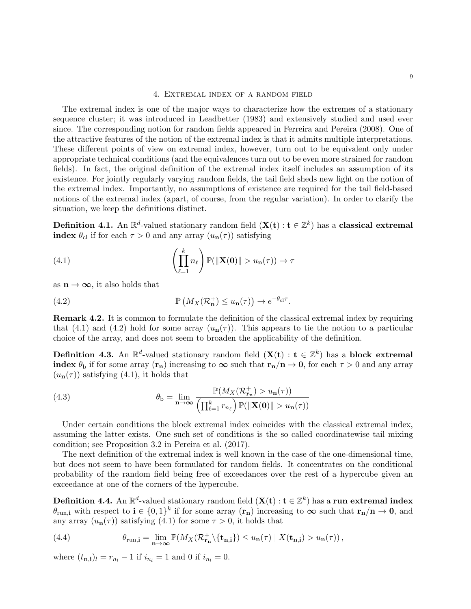#### 4. Extremal index of a random field

The extremal index is one of the major ways to characterize how the extremes of a stationary sequence cluster; it was introduced in Leadbetter (1983) and extensively studied and used ever since. The corresponding notion for random fields appeared in Ferreira and Pereira (2008). One of the attractive features of the notion of the extremal index is that it admits multiple interpretations. These different points of view on extremal index, however, turn out to be equivalent only under appropriate technical conditions (and the equivalences turn out to be even more strained for random fields). In fact, the original definition of the extremal index itself includes an assumption of its existence. For jointly regularly varying random fields, the tail field sheds new light on the notion of the extremal index. Importantly, no assumptions of existence are required for the tail field-based notions of the extremal index (apart, of course, from the regular variation). In order to clarify the situation, we keep the definitions distinct.

**Definition 4.1.** An  $\mathbb{R}^d$ -valued stationary random field  $(\mathbf{X}(\mathbf{t}) : \mathbf{t} \in \mathbb{Z}^k)$  has a **classical extremal** index  $\theta_{\rm cl}$  if for each  $\tau > 0$  and any array  $(u_{\rm n}(\tau))$  satisfying

(4.1) 
$$
\left(\prod_{\ell=1}^k n_\ell\right) \mathbb{P}(\|\mathbf{X}(\mathbf{0})\| > u_\mathbf{n}(\tau)) \to \tau
$$

as  $n \to \infty$ , it also holds that

(4.2) 
$$
\mathbb{P}\left(M_X(\mathcal{R}_n^+) \leq u_n(\tau)\right) \to e^{-\theta_{\text{cl}}\tau}.
$$

Remark 4.2. It is common to formulate the definition of the classical extremal index by requiring that (4.1) and (4.2) hold for some array  $(u_n(\tau))$ . This appears to tie the notion to a particular choice of the array, and does not seem to broaden the applicability of the definition.

Definition 4.3. An  $\mathbb{R}^d$ -valued stationary random field  $(X(t) : t \in \mathbb{Z}^k)$  has a block extremal index  $\theta_b$  if for some array  $(\mathbf{r}_n)$  increasing to  $\infty$  such that  $\mathbf{r}_n/n \to 0$ , for each  $\tau > 0$  and any array  $(u_n(\tau))$  satisfying (4.1), it holds that

(4.3) 
$$
\theta_{\mathbf{b}} = \lim_{\mathbf{n} \to \infty} \frac{\mathbb{P}(M_X(\mathcal{R}_{\mathbf{r}_{\mathbf{n}}}^+) > u_{\mathbf{n}}(\tau))}{\left(\prod_{\ell=1}^k r_{n_\ell}\right) \mathbb{P}(\|\mathbf{X}(\mathbf{0})\| > u_{\mathbf{n}}(\tau))}
$$

Under certain conditions the block extremal index coincides with the classical extremal index, assuming the latter exists. One such set of conditions is the so called coordinatewise tail mixing condition; see Proposition 3.2 in Pereira et al. (2017).

The next definition of the extremal index is well known in the case of the one-dimensional time, but does not seem to have been formulated for random fields. It concentrates on the conditional probability of the random field being free of exceedances over the rest of a hypercube given an exceedance at one of the corners of the hypercube.

**Definition 4.4.** An  $\mathbb{R}^d$ -valued stationary random field  $(\mathbf{X}(\mathbf{t}): \mathbf{t} \in \mathbb{Z}^k)$  has a run extremal index  $\theta_{\text{run,i}}$  with respect to  $\mathbf{i} \in \{0,1\}^k$  if for some array  $(\mathbf{r}_n)$  increasing to  $\infty$  such that  $\mathbf{r}_n/\mathbf{n} \to \mathbf{0}$ , and any array  $(u_n(\tau))$  satisfying (4.1) for some  $\tau > 0$ , it holds that

(4.4) 
$$
\theta_{\text{run,i}} = \lim_{\mathbf{n} \to \infty} \mathbb{P}(M_X(\mathcal{R}_{\mathbf{r}_{\mathbf{n}}}^+ \setminus {\mathbf{t}_{\mathbf{n},\mathbf{i}}}) \leq u_{\mathbf{n}}(\tau) | X(\mathbf{t}_{\mathbf{n},\mathbf{i}}) > u_{\mathbf{n}}(\tau)),
$$

where  $(t_{n,i})_l = r_{n_l} - 1$  if  $i_{n_l} = 1$  and 0 if  $i_{n_l} = 0$ .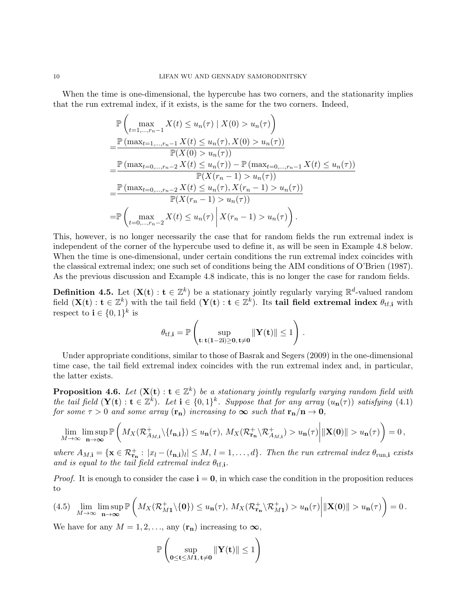When the time is one-dimensional, the hypercube has two corners, and the stationarity implies that the run extremal index, if it exists, is the same for the two corners. Indeed,

$$
\mathbb{P}\left(\max_{t=1,\dots,r_n-1} X(t) \le u_n(\tau) \mid X(0) > u_n(\tau)\right)
$$
\n
$$
= \frac{\mathbb{P}\left(\max_{t=1,\dots,r_n-1} X(t) \le u_n(\tau), X(0) > u_n(\tau)\right)}{\mathbb{P}(X(0) > u_n(\tau))}
$$
\n
$$
= \frac{\mathbb{P}\left(\max_{t=0,\dots,r_n-2} X(t) \le u_n(\tau)\right) - \mathbb{P}\left(\max_{t=0,\dots,r_n-1} X(t) \le u_n(\tau)\right)}{\mathbb{P}(X(r_n-1) > u_n(\tau))}
$$
\n
$$
= \frac{\mathbb{P}\left(\max_{t=0,\dots,r_n-2} X(t) \le u_n(\tau), X(r_n-1) > u_n(\tau)\right)}{\mathbb{P}(X(r_n-1) > u_n(\tau))}
$$
\n
$$
= \mathbb{P}\left(\max_{t=0,\dots,r_n-2} X(t) \le u_n(\tau) \mid X(r_n-1) > u_n(\tau)\right).
$$

This, however, is no longer necessarily the case that for random fields the run extremal index is independent of the corner of the hypercube used to define it, as will be seen in Example 4.8 below. When the time is one-dimensional, under certain conditions the run extremal index coincides with the classical extremal index; one such set of conditions being the AIM conditions of O'Brien (1987). As the previous discussion and Example 4.8 indicate, this is no longer the case for random fields.

**Definition 4.5.** Let  $(X(t): t \in \mathbb{Z}^k)$  be a stationary jointly regularly varying  $\mathbb{R}^d$ -valued random field  $(\mathbf{X}(\mathbf{t}): \mathbf{t} \in \mathbb{Z}^k)$  with the tail field  $(\mathbf{Y}(\mathbf{t}): \mathbf{t} \in \mathbb{Z}^k)$ . Its tail field extremal index  $\theta_{\text{tf},i}$  with respect to  $\mathbf{i} \in \{0,1\}^k$  is

$$
\theta_{tf,\mathbf{i}} = \mathbb{P}\left(\sup_{\mathbf{t}:\, \mathbf{t}(\mathbf{1}-2\mathbf{i})\geq \mathbf{0},\, \mathbf{t}\neq \mathbf{0}} \|\mathbf{Y}(\mathbf{t})\| \leq 1\right)\,.
$$

Under appropriate conditions, similar to those of Basrak and Segers (2009) in the one-dimensional time case, the tail field extremal index coincides with the run extremal index and, in particular, the latter exists.

**Proposition 4.6.** Let  $(X(t): t \in \mathbb{Z}^k)$  be a stationary jointly regularly varying random field with the tail field  $(\mathbf{Y}(t): t \in \mathbb{Z}^k)$ . Let  $i \in \{0,1\}^k$ . Suppose that for any array  $(u_n(\tau))$  satisfying (4.1) for some  $\tau > 0$  and some array  $(\mathbf{r}_n)$  increasing to  $\infty$  such that  $\mathbf{r}_n/n \to 0$ ,

$$
\lim_{M\to\infty}\limsup_{\mathbf{n}\to\infty}\mathbb{P}\left(M_X(\mathcal{R}_{A_{M,\mathbf{i}}}^+\backslash\{t_{\mathbf{n},\mathbf{i}}\})\leq u_{\mathbf{n}}(\tau), M_X(\mathcal{R}_{\mathbf{r}_{\mathbf{n}}}^+\backslash\mathcal{R}_{A_{M,\mathbf{i}}}^+)\gt u_{\mathbf{n}}(\tau)\middle|\|\mathbf{X}(\mathbf{0})\|>u_{\mathbf{n}}(\tau)\right)=0,
$$

where  $A_{M,i} = {\mathbf{x} \in \mathcal{R}^+_{\mathbf{r}_n} : |x_l - (t_{\mathbf{n},i})_l| \leq M, l = 1,\ldots,d}$ . Then the run extremal index  $\theta_{\text{run},i}$  exists and is equal to the tail field extremal index  $\theta_{\text{tf,i}}$ .

*Proof.* It is enough to consider the case  $\mathbf{i} = \mathbf{0}$ , in which case the condition in the proposition reduces to

$$
(4.5) \quad \lim_{M\to\infty} \limsup_{\mathbf{n}\to\infty} \mathbb{P}\left(M_X(\mathcal{R}^+_{M1}\setminus\{\mathbf{0}\})\leq u_{\mathbf{n}}(\tau), M_X(\mathcal{R}^+_{\mathbf{r}_{\mathbf{n}}}\setminus\mathcal{R}^+_{M1})>u_{\mathbf{n}}(\tau)\right| \|\mathbf{X}(\mathbf{0})\|>u_{\mathbf{n}}(\tau)\right)=0.
$$

We have for any  $M = 1, 2, \ldots$ , any  $(\mathbf{r}_n)$  increasing to  $\infty$ ,

$$
\mathbb{P}\left(\sup_{0\leq t\leq M\mathbf{1},\,t\neq 0}\|\mathbf{Y}(t)\|\leq 1\right)
$$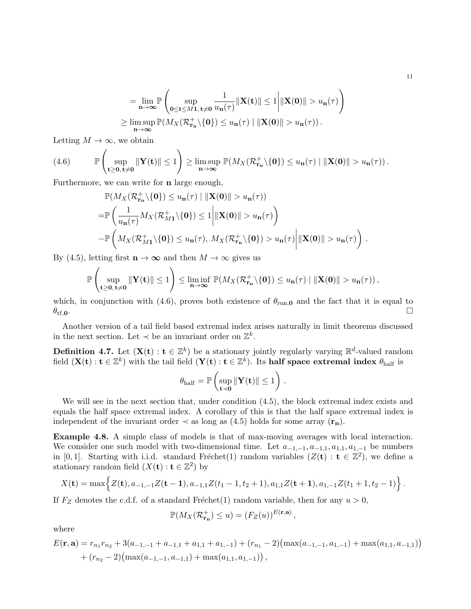$$
= \lim_{n \to \infty} \mathbb{P}\left(\sup_{\substack{\mathbf{0} \le \mathbf{t} \le M\mathbf{1}, \mathbf{t} \ne \mathbf{0} \\ n \to \infty}} \frac{1}{u_{\mathbf{n}}(\tau)} \|\mathbf{X}(\mathbf{t})\| \le 1 \Big| \|\mathbf{X}(\mathbf{0})\| > u_{\mathbf{n}}(\tau) \Big|
$$
  

$$
\ge \limsup_{n \to \infty} \mathbb{P}(M_X(\mathcal{R}_{\mathbf{r}_n}^+ \setminus \{\mathbf{0}\}) \le u_{\mathbf{n}}(\tau) \|\|\mathbf{X}(\mathbf{0})\| > u_{\mathbf{n}}(\tau)).
$$

Letting  $M \to \infty$ , we obtain

(4.6) 
$$
\mathbb{P}\left(\sup_{\mathbf{t}\geq\mathbf{0},\,\mathbf{t}\neq\mathbf{0}}\|\mathbf{Y}(\mathbf{t})\|\leq 1\right)\geq \limsup_{\mathbf{n}\to\infty}\mathbb{P}(M_X(\mathcal{R}_{\mathbf{r}_n}^+\backslash\{\mathbf{0}\})\leq u_{\mathbf{n}}(\tau)\mid \|\mathbf{X}(\mathbf{0})\|>u_{\mathbf{n}}(\tau)).
$$

Furthermore, we can write for **n** large enough,

$$
\mathbb{P}(M_X(\mathcal{R}_{\mathbf{r}_{\mathbf{n}}}^+\backslash\{\mathbf{0}\}) \leq u_{\mathbf{n}}(\tau) \mid ||\mathbf{X}(\mathbf{0})|| > u_{\mathbf{n}}(\tau))
$$
\n
$$
= \mathbb{P}\left(\frac{1}{u_{\mathbf{n}}(\tau)}M_X(\mathcal{R}_{M\mathbf{1}}^+\backslash\{\mathbf{0}\}) \leq 1 \middle| ||\mathbf{X}(\mathbf{0})|| > u_{\mathbf{n}}(\tau)\right)
$$
\n
$$
- \mathbb{P}\left(M_X(\mathcal{R}_{M\mathbf{1}}^+\backslash\{\mathbf{0}\}) \leq u_{\mathbf{n}}(\tau), M_X(\mathcal{R}_{\mathbf{r}_{\mathbf{n}}}^+\backslash\{\mathbf{0}\}) > u_{\mathbf{n}}(\tau)\right||\mathbf{X}(\mathbf{0})|| > u_{\mathbf{n}}(\tau)\right).
$$

By (4.5), letting first  $\mathbf{n} \to \infty$  and then  $M \to \infty$  gives us

$$
\mathbb{P}\left(\sup_{\mathbf{t}\geq\mathbf{0},\,\mathbf{t}\neq\mathbf{0}}\|\mathbf{Y}(\mathbf{t})\|\leq 1\right)\leq \liminf_{\mathbf{n}\to\infty}\mathbb{P}(M_X(\mathcal{R}_{\mathbf{r}_n}^+\backslash\{\mathbf{0}\})\leq u_{\mathbf{n}}(\tau)\mid \|\mathbf{X}(\mathbf{0})\|>u_{\mathbf{n}}(\tau)),
$$

which, in conjunction with (4.6), proves both existence of  $\theta_{run,0}$  and the fact that it is equal to  $\theta_{\rm tf,0}$ .

Another version of a tail field based extremal index arises naturally in limit theorems discussed in the next section. Let  $\prec$  be an invariant order on  $\mathbb{Z}^k$ .

**Definition 4.7.** Let  $(X(t): t \in \mathbb{Z}^k)$  be a stationary jointly regularly varying  $\mathbb{R}^d$ -valued random field  $({\bf X}({\bf t}): {\bf t}\in \mathbb{Z}^k)$  with the tail field  $({\bf Y}({\bf t}): {\bf t}\in \mathbb{Z}^k)$ . Its half space extremal index  $\theta_{\rm half}$  is

$$
\theta_{half} = \mathbb{P}\left(\sup_{\mathbf{t} \prec \mathbf{0}} \|\mathbf{Y}(\mathbf{t})\| \leq 1\right)\,.
$$

We will see in the next section that, under condition  $(4.5)$ , the block extremal index exists and equals the half space extremal index. A corollary of this is that the half space extremal index is independent of the invariant order  $\prec$  as long as (4.5) holds for some array  $(\mathbf{r}_n)$ .

Example 4.8. A simple class of models is that of max-moving averages with local interaction. We consider one such model with two-dimensional time. Let  $a_{-1,-1}, a_{-1,1}, a_{1,1}, a_{1,-1}$  be numbers in [0,1]. Starting with i.i.d. standard Fréchet(1) random variables  $(Z(t) : t \in \mathbb{Z}^2)$ , we define a stationary random field  $(X(\mathbf{t}): \mathbf{t} \in \mathbb{Z}^2)$  by

$$
X(\mathbf{t}) = \max \Big\{ Z(\mathbf{t}), a_{-1,-1}Z(\mathbf{t-1}), a_{-1,1}Z(t_1-1,t_2+1), a_{1,1}Z(\mathbf{t+1}), a_{1,-1}Z(t_1+1,t_2-1) \Big\}.
$$

If  $F_Z$  denotes the c.d.f. of a standard Fréchet(1) random variable, then for any  $u > 0$ ,

$$
\mathbb{P}(M_X(\mathcal{R}_{\mathbf{r}_{\mathbf{n}}}^+) \le u) = (F_Z(u))^{E(\mathbf{r},\mathbf{a})},
$$

where

$$
E(\mathbf{r}, \mathbf{a}) = r_{n_1} r_{n_2} + 3(a_{-1,-1} + a_{-1,1} + a_{1,1} + a_{1,-1}) + (r_{n_1} - 2)(\max(a_{-1,-1}, a_{1,-1}) + \max(a_{1,1}, a_{-1,1})) + (r_{n_2} - 2)(\max(a_{-1,-1}, a_{-1,1}) + \max(a_{1,1}, a_{1,-1})),
$$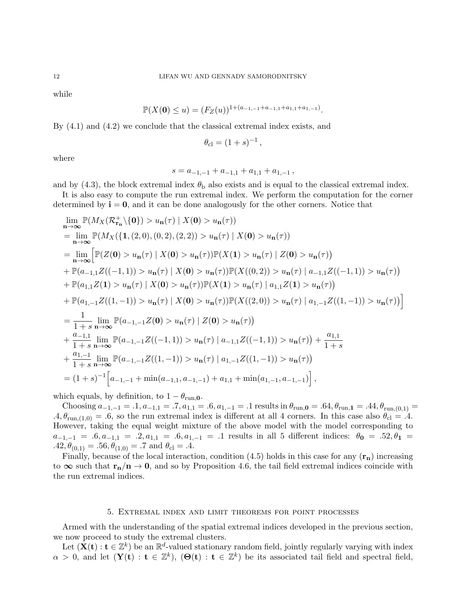while

$$
\mathbb{P}(X(\mathbf{0}) \le u) = (F_Z(u))^{1 + (a_{-1,-1} + a_{-1,1} + a_{1,1} + a_{1,-1})}.
$$

By (4.1) and (4.2) we conclude that the classical extremal index exists, and

$$
\theta_{\rm cl} = (1+s)^{-1},
$$

where

$$
s = a_{-1,-1} + a_{-1,1} + a_{1,1} + a_{1,-1},
$$

and by (4.3), the block extremal index  $\theta_{\rm b}$  also exists and is equal to the classical extremal index.

It is also easy to compute the run extremal index. We perform the computation for the corner determined by  $i = 0$ , and it can be done analogously for the other corners. Notice that

$$
\lim_{n\to\infty} \mathbb{P}(M_X(\mathcal{R}_{r_n}^+ \setminus \{0\}) > u_n(\tau) | X(0) > u_n(\tau))
$$
\n
$$
= \lim_{n\to\infty} \mathbb{P}(M_X(\{1, (2,0), (0,2), (2,2)) > u_n(\tau) | X(0) > u_n(\tau))
$$
\n
$$
= \lim_{n\to\infty} \left[ \mathbb{P}(Z(0) > u_n(\tau) | X(0) > u_n(\tau)) \mathbb{P}(X(1) > u_n(\tau) | Z(0) > u_n(\tau)) \right]
$$
\n
$$
+ \mathbb{P}(a_{-1,1}Z((-1,1)) > u_n(\tau) | X(0) > u_n(\tau)) \mathbb{P}(X((0,2)) > u_n(\tau) | a_{-1,1}Z((-1,1)) > u_n(\tau))
$$
\n
$$
+ \mathbb{P}(a_{1,1}Z(1) > u_n(\tau) | X(0) > u_n(\tau)) \mathbb{P}(X(1) > u_n(\tau) | a_{1,1}Z(1) > u_n(\tau))
$$
\n
$$
+ \mathbb{P}(a_{1,-1}Z((1,-1)) > u_n(\tau) | X(0) > u_n(\tau)) \mathbb{P}(X((2,0)) > u_n(\tau) | a_{1,-1}Z((1,-1)) > u_n(\tau)) \right]
$$
\n
$$
= \frac{1}{1+s} \lim_{n\to\infty} \mathbb{P}(a_{-1,-1}Z(0) > u_n(\tau) | Z(0) > u_n(\tau))
$$
\n
$$
+ \frac{a_{-1,1}}{1+s} \lim_{n\to\infty} \mathbb{P}(a_{-1,-1}Z((-1,1)) > u_n(\tau) | a_{-1,1}Z((-1,1)) > u_n(\tau)) + \frac{a_{1,1}}{1+s}
$$
\n
$$
+ \frac{a_{1,-1}}{1+s} \lim_{n\to\infty} \mathbb{P}(a_{-1,-1}Z((1,-1)) > u_n(\tau) | a_{1,-1}Z((1,-1)) > u_n(\tau))
$$
\n
$$
= (1+s)^{-1} \Big[a_{-1,-1} + \min(a_{-1,1}, a_{-1,-1}) + a_{1,1} + \min(a_{1,-1}, a_{-1,-1}) \Big],
$$

which equals, by definition, to  $1 - \theta_{run,0}$ .

Choosing  $a_{-1,-1} = .1, a_{-1,1} = .7, a_{1,1} = .6, a_{1,-1} = .1$  results in  $\theta_{run,0} = .64, \theta_{run,1} = .44, \theta_{run,(0,1)} =$  $.4, \theta_{\text{run}(1,0)} = .6$ , so the run extremal index is different at all 4 corners. In this case also  $\theta_{\text{cl}} = .4$ . However, taking the equal weight mixture of the above model with the model corresponding to  $a_{-1,-1} = .6, a_{-1,1} = .2, a_{1,1} = .6, a_{1,-1} = .1$  results in all 5 different indices:  $\theta_0 = .52, \theta_1 = .1$  $.42, \theta_{(0,1)} = .56, \theta_{(1,0)} = .7$  and  $\theta_{\rm cl} = .4$ .

Finally, because of the local interaction, condition (4.5) holds in this case for any  $(\mathbf{r}_n)$  increasing to  $\infty$  such that  $\mathbf{r}_n/n \to 0$ , and so by Proposition 4.6, the tail field extremal indices coincide with the run extremal indices.

#### 5. Extremal index and limit theorems for point processes

Armed with the understanding of the spatial extremal indices developed in the previous section, we now proceed to study the extremal clusters.

Let  $(\mathbf{X}(\mathbf{t}): \mathbf{t} \in \mathbb{Z}^k)$  be an  $\mathbb{R}^d$ -valued stationary random field, jointly regularly varying with index  $\alpha > 0$ , and let  $(Y(t) : t \in \mathbb{Z}^k)$ ,  $(\Theta(t) : t \in \mathbb{Z}^k)$  be its associated tail field and spectral field,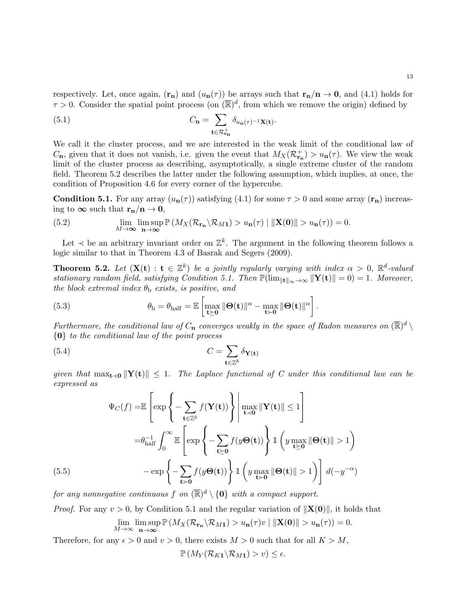respectively. Let, once again,  $(\mathbf{r}_n)$  and  $(u_n(\tau))$  be arrays such that  $\mathbf{r}_n/\mathbf{n} \to \mathbf{0}$ , and (4.1) holds for  $\tau > 0$ . Consider the spatial point process (on  $(\overline{\mathbb{R}})^d$ , from which we remove the origin) defined by

(5.1) 
$$
C_{\mathbf{n}} = \sum_{\mathbf{t} \in \mathcal{R}_{\mathbf{r}_{\mathbf{n}}}^{+}} \delta_{u_{\mathbf{n}}(\tau)^{-1} \mathbf{X}(\mathbf{t})}.
$$

We call it the cluster process, and we are interested in the weak limit of the conditional law of  $C_{\mathbf{n}}$ , given that it does not vanish, i.e. given the event that  $M_X(\mathcal{R}_{\mathbf{r}_{\mathbf{n}}}^+) > u_{\mathbf{n}}(\tau)$ . We view the weak limit of the cluster process as describing, asymptotically, a single extreme cluster of the random field. Theorem 5.2 describes the latter under the following assumption, which implies, at once, the condition of Proposition 4.6 for every corner of the hypercube.

**Condition 5.1.** For any array  $(u_n(\tau))$  satisfying (4.1) for some  $\tau > 0$  and some array  $(\mathbf{r}_n)$  increasing to  $\infty$  such that  $\mathbf{r_n/n} \to \mathbf{0}$ ,

(5.2) 
$$
\lim_{M \to \infty} \limsup_{n \to \infty} \mathbb{P}\left(M_X(\mathcal{R}_{\mathbf{r}_n} \setminus \mathcal{R}_{M1}) > u_n(\tau) \mid ||\mathbf{X}(0)|| > u_n(\tau)\right) = 0.
$$

Let  $\prec$  be an arbitrary invariant order on  $\mathbb{Z}^k$ . The argument in the following theorem follows a logic similar to that in Theorem 4.3 of Basrak and Segers (2009).

**Theorem 5.2.** Let  $(X(t) : t \in \mathbb{Z}^k)$  be a jointly regularly varying with index  $\alpha > 0$ ,  $\mathbb{R}^d$ -valued stationary random field, satisfying Condition 5.1. Then  $\mathbb{P}(\lim_{\|\mathbf{t}\|_{\infty}\to\infty} \|\mathbf{Y}(\mathbf{t})\| = 0) = 1$ . Moreover, the block extremal index  $\theta_{\rm b}$  exists, is positive, and

(5.3) 
$$
\theta_{\rm b} = \theta_{\rm half} = \mathbb{E}\left[\max_{\mathbf{t} \succeq \mathbf{0}} ||\mathbf{\Theta}(\mathbf{t})||^{\alpha} - \max_{\mathbf{t} \succ \mathbf{0}} ||\mathbf{\Theta}(\mathbf{t})||^{\alpha}\right].
$$

Furthermore, the conditional law of  $C_n$  converges weakly in the space of Radon measures on  $(\overline{\mathbb{R}})^d \setminus$ {0} to the conditional law of the point process

(5.4) 
$$
C = \sum_{\mathbf{t} \in \mathbb{Z}^k} \delta_{\mathbf{Y}(\mathbf{t})}
$$

given that  $\max_{\mathbf{t} \prec \mathbf{0}} ||\mathbf{Y}(\mathbf{t})|| \leq 1$ . The Laplace functional of C under this conditional law can be expressed as

$$
\Psi_C(f) = \mathbb{E}\left[\exp\left\{-\sum_{\mathbf{t}\in\mathbb{Z}^k} f(\mathbf{Y}(\mathbf{t}))\right\} \middle| \max_{\mathbf{t}\prec\mathbf{0}} \|\mathbf{Y}(\mathbf{t})\| \le 1\right]
$$
\n
$$
= \theta_{\text{half}}^{-1} \int_0^\infty \mathbb{E}\left[\exp\left\{-\sum_{\mathbf{t}\succeq\mathbf{0}} f(y\Theta(\mathbf{t}))\right\} \mathbb{1}\left(y\max_{\mathbf{t}\succeq\mathbf{0}} \|\Theta(\mathbf{t})\| > 1\right)\right]
$$
\n(5.5)\n
$$
-\exp\left\{-\sum_{\mathbf{t}\succ\mathbf{0}} f(y\Theta(\mathbf{t}))\right\} \mathbb{1}\left(y\max_{\mathbf{t}\succ\mathbf{0}} \|\Theta(\mathbf{t})\| > 1\right)\right] d(-y^{-\alpha})
$$

for any nonnegative continuous  $f$  on  $(\overline{\mathbb{R}})^d \setminus \{0\}$  with a compact support.

*Proof.* For any  $v > 0$ , by Condition 5.1 and the regular variation of  $||\mathbf{X}(0)||$ , it holds that  $\lim_{M\to\infty} \limsup_{n\to\infty}$  $\limsup_{n\to\infty}$   $\mathbb{P}\left(M_X(\mathcal{R}_{\mathbf{r}_n}\backslash\mathcal{R}_{M1}) > u_n(\tau)v \mid ||\mathbf{X}(\mathbf{0})|| > u_n(\tau)\right) = 0.$ 

Therefore, for any  $\epsilon > 0$  and  $v > 0$ , there exists  $M > 0$  such that for all  $K > M$ ,

 $\mathbb{P}\left(M_Y(\mathcal{R}_{K1}\backslash\mathcal{R}_{M1}) > v\right) \leq \epsilon.$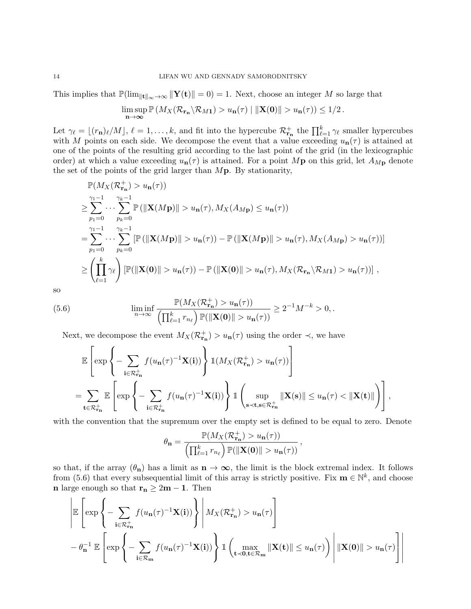This implies that  $\mathbb{P}(\lim_{\|\mathbf{t}\|_{\infty}\to\infty} \|\mathbf{Y}(\mathbf{t})\| = 0) = 1$ . Next, choose an integer M so large that

$$
\limsup_{n\to\infty} \mathbb{P}\left(M_X(\mathcal{R}_{\mathbf{r}_n}\backslash\mathcal{R}_{M1})>u_n(\tau)\mid ||\mathbf{X}(\mathbf{0})||>u_n(\tau)\right)\leq 1/2.
$$

Let  $\gamma_{\ell} = \lfloor (r_{\mathbf{n}})_{\ell}/M \rfloor, \ell = 1, \ldots, k$ , and fit into the hypercube  $\mathcal{R}_{\mathbf{r}_{\mathbf{n}}}^{+}$  the  $\prod_{\ell=1}^{k} \gamma_{\ell}$  smaller hypercubes with M points on each side. We decompose the event that a value exceeding  $u_{n}(\tau)$  is attained at one of the points of the resulting grid according to the last point of the grid (in the lexicographic order) at which a value exceeding  $u_{\bf n}(\tau)$  is attained. For a point Mp on this grid, let  $A_{M{\bf p}}$  denote the set of the points of the grid larger than  $M\mathbf{p}$ . By stationarity,

$$
\mathbb{P}(M_X(\mathcal{R}_{\mathbf{r}_n}^+) > u_{\mathbf{n}}(\tau))
$$
\n
$$
\geq \sum_{p_1=0}^{\gamma_1-1} \cdots \sum_{p_k=0}^{\gamma_k-1} \mathbb{P}\left(\|\mathbf{X}(M\mathbf{p})\| > u_{\mathbf{n}}(\tau), M_X(A_{M\mathbf{p}}) \leq u_{\mathbf{n}}(\tau)\right)
$$
\n
$$
= \sum_{p_1=0}^{\gamma_1-1} \cdots \sum_{p_k=0}^{\gamma_k-1} \left[\mathbb{P}\left(\|\mathbf{X}(M\mathbf{p})\| > u_{\mathbf{n}}(\tau)\right) - \mathbb{P}\left(\|\mathbf{X}(M\mathbf{p})\| > u_{\mathbf{n}}(\tau), M_X(A_{M\mathbf{p}}) > u_{\mathbf{n}}(\tau)\right)\right]
$$
\n
$$
\geq \left(\prod_{\ell=1}^k \gamma_\ell\right) \left[\mathbb{P}\left(\|\mathbf{X}(0)\| > u_{\mathbf{n}}(\tau)\right) - \mathbb{P}\left(\|\mathbf{X}(0)\| > u_{\mathbf{n}}(\tau), M_X(\mathcal{R}_{\mathbf{r}_n}\setminus\mathcal{R}_{M1}) > u_{\mathbf{n}}(\tau)\right)\right],
$$

so

(5.6) 
$$
\liminf_{n \to \infty} \frac{\mathbb{P}(M_X(\mathcal{R}_{\mathbf{r}_{\mathbf{n}}}^+) > u_{\mathbf{n}}(\tau))}{\left(\prod_{\ell=1}^k r_{n_\ell}\right) \mathbb{P}(\|\mathbf{X}(0)\| > u_{\mathbf{n}}(\tau))} \ge 2^{-1}M^{-k} > 0,
$$

Next, we decompose the event  $M_X(\mathcal{R}_{\mathbf{r}_{\mathbf{n}}}^+) > u_{\mathbf{n}}(\tau)$  using the order  $\prec$ , we have

$$
\mathbb{E}\left[\exp\left\{-\sum_{\mathbf{i}\in\mathcal{R}_{\mathbf{r}_{\mathbf{n}}}^{+}}f(u_{\mathbf{n}}(\tau)^{-1}\mathbf{X}(\mathbf{i}))\right\}\mathbb{1}(M_{X}(\mathcal{R}_{\mathbf{r}_{\mathbf{n}}}^{+}) > u_{\mathbf{n}}(\tau))\right]
$$
\n
$$
=\sum_{\mathbf{t}\in\mathcal{R}_{\mathbf{r}_{\mathbf{n}}}^{+}}\mathbb{E}\left[\exp\left\{-\sum_{\mathbf{i}\in\mathcal{R}_{\mathbf{r}_{\mathbf{n}}}^{+}}f(u_{\mathbf{n}}(\tau)^{-1}\mathbf{X}(\mathbf{i}))\right\}\mathbb{1}\left(\sup_{\mathbf{s}\prec\mathbf{t},\mathbf{s}\in\mathcal{R}_{\mathbf{r}_{\mathbf{n}}}^{+}}\|\mathbf{X}(\mathbf{s})\| \leq u_{\mathbf{n}}(\tau) < \|\mathbf{X}(\mathbf{t})\|\right)\right],
$$

with the convention that the supremum over the empty set is defined to be equal to zero. Denote

$$
\theta_{\mathbf{n}} = \frac{\mathbb{P}(M_X(\mathcal{R}_{\mathbf{r}_{\mathbf{n}}}^+) > u_{\mathbf{n}}(\tau))}{\left(\prod_{\ell=1}^k r_{n_\ell}\right) \mathbb{P}(\|\mathbf{X}(\mathbf{0})\| > u_{\mathbf{n}}(\tau))},
$$

so that, if the array  $(\theta_n)$  has a limit as  $n \to \infty$ , the limit is the block extremal index. It follows from (5.6) that every subsequential limit of this array is strictly positive. Fix  $\mathbf{m} \in \mathbb{N}^k$ , and choose **n** large enough so that  $\mathbf{r_n} \geq 2\mathbf{m} - \mathbf{1}$ . Then

$$
\left| \mathbb{E} \left[ \exp \left\{ - \sum_{\mathbf{i} \in \mathcal{R}_{\mathbf{r}_{\mathbf{n}}}^+} f(u_{\mathbf{n}}(\tau)^{-1} \mathbf{X}(\mathbf{i})) \right\} \middle| M_X(\mathcal{R}_{\mathbf{r}_{\mathbf{n}}}^+) > u_{\mathbf{n}}(\tau) \right] - \theta_{\mathbf{n}}^{-1} \mathbb{E} \left[ \exp \left\{ - \sum_{\mathbf{i} \in \mathcal{R}_{\mathbf{m}}} f(u_{\mathbf{n}}(\tau)^{-1} \mathbf{X}(\mathbf{i})) \right\} \mathbb{1} \left( \max_{\mathbf{t} \prec \mathbf{0}, \mathbf{t} \in \mathcal{R}_{\mathbf{m}}} \|\mathbf{X}(\mathbf{t})\| \le u_{\mathbf{n}}(\tau) \right) \right| \|\mathbf{X}(\mathbf{0})\| > u_{\mathbf{n}}(\tau) \right]
$$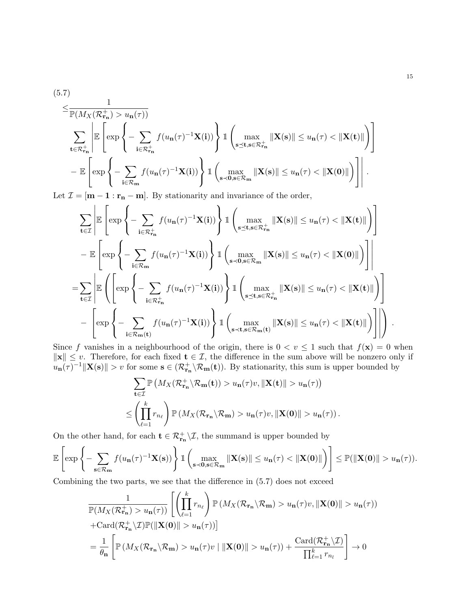$$
(5.7)
$$
\n
$$
\leq \frac{1}{\mathbb{P}(M_X(\mathcal{R}_{\mathbf{r}_{\mathbf{n}}}^+) > u_{\mathbf{n}}(\tau))}
$$
\n
$$
\sum_{\mathbf{t} \in \mathcal{R}_{\mathbf{r}_{\mathbf{n}}}^+} \left| \mathbb{E} \left[ \exp \left\{ - \sum_{\mathbf{i} \in \mathcal{R}_{\mathbf{r}_{\mathbf{n}}}^+} f(u_{\mathbf{n}}(\tau)^{-1} \mathbf{X}(\mathbf{i})) \right\} \mathbb{1} \left( \max_{\mathbf{s} \preceq \mathbf{t}, \mathbf{s} \in \mathcal{R}_{\mathbf{r}_{\mathbf{n}}}^+} \|\mathbf{X}(\mathbf{s})\| \leq u_{\mathbf{n}}(\tau) < \|\mathbf{X}(\mathbf{t})\| \right) \right]
$$
\n
$$
- \mathbb{E} \left[ \exp \left\{ - \sum_{\mathbf{i} \in \mathcal{R}_{\mathbf{m}}} f(u_{\mathbf{n}}(\tau)^{-1} \mathbf{X}(\mathbf{i})) \right\} \mathbb{1} \left( \max_{\mathbf{s} \prec \mathbf{0}, \mathbf{s} \in \mathcal{R}_{\mathbf{m}}} \|\mathbf{X}(\mathbf{s})\| \leq u_{\mathbf{n}}(\tau) < \|\mathbf{X}(\mathbf{0})\| \right) \right] \right|.
$$

Let  $\mathcal{I} = [\mathbf{m} - \mathbf{1} : \mathbf{r}_{\mathbf{n}} - \mathbf{m}]$ . By stationarity and invariance of the order,

$$
\sum_{\mathbf{t}\in\mathcal{I}}\left|\mathbb{E}\left[\exp\left\{-\sum_{\mathbf{i}\in\mathcal{R}_{\mathbf{r}_{\mathbf{n}}}^{+}}f(u_{\mathbf{n}}(\tau)^{-1}\mathbf{X}(\mathbf{i}))\right\}\right]\right.\left.\left.\left.\left(\max_{\mathbf{s}\preceq\mathbf{t},\mathbf{s}\in\mathcal{R}_{\mathbf{r}_{\mathbf{n}}}^{+}}\|\mathbf{X}(\mathbf{s})\|\leq u_{\mathbf{n}}(\tau)<\|\mathbf{X}(\mathbf{t})\|\right)\right]\right] \n-\mathbb{E}\left[\exp\left\{-\sum_{\mathbf{i}\in\mathcal{R}_{\mathbf{m}}}f(u_{\mathbf{n}}(\tau)^{-1}\mathbf{X}(\mathbf{i}))\right\}\right]\left.\left.\left(\max_{\mathbf{s}\prec\mathbf{0},\mathbf{s}\in\mathcal{R}_{\mathbf{m}}} \|\mathbf{X}(\mathbf{s})\|\leq u_{\mathbf{n}}(\tau)<\|\mathbf{X}(\mathbf{0})\|\right)\right]\right| \n=\sum_{\mathbf{t}\in\mathcal{I}}\left|\mathbb{E}\left(\left[\exp\left\{-\sum_{\mathbf{i}\in\mathcal{R}_{\mathbf{r}_{\mathbf{n}}}^{+}}f(u_{\mathbf{n}}(\tau)^{-1}\mathbf{X}(\mathbf{i}))\right\}\right]\left.\left.\left(\max_{\mathbf{s}\preceq\mathbf{t},\mathbf{s}\in\mathcal{R}_{\mathbf{r}_{\mathbf{n}}}^{+}}\|\mathbf{X}(\mathbf{s})\|\leq u_{\mathbf{n}}(\tau)<\|\mathbf{X}(\mathbf{t})\|\right)\right]\right| \n-\left[\exp\left\{-\sum_{\mathbf{i}\in\mathcal{R}_{\mathbf{m}}(\mathbf{t})}f(u_{\mathbf{n}}(\tau)^{-1}\mathbf{X}(\mathbf{i}))\right\}\right]\left.\left.\left(\max_{\mathbf{s}\prec\mathbf{t},\mathbf{s}\in\mathcal{R}_{\mathbf{m}}(\mathbf{t})}\|\mathbf{X}(\mathbf{s})\|\leq u_{\mathbf{n}}(\tau)<\|\mathbf{X}(\mathbf{t})\|\right)\right]\right|\right).
$$

Since f vanishes in a neighbourhood of the origin, there is  $0 < v \le 1$  such that  $f(\mathbf{x}) = 0$  when  $\|\mathbf{x}\| \leq v$ . Therefore, for each fixed  $\mathbf{t} \in \mathcal{I}$ , the difference in the sum above will be nonzero only if  $u_{\mathbf{n}}(\tau)^{-1} \|\mathbf{X}(\mathbf{s})\| > v$  for some  $\mathbf{s} \in (\mathcal{R}_{\mathbf{r}_{\mathbf{n}}}^+ \setminus \mathcal{R}_{\mathbf{m}}(\mathbf{t}))$ . By stationarity, this sum is upper bounded by

$$
\sum_{\mathbf{t}\in\mathcal{I}} \mathbb{P}\left(M_X(\mathcal{R}_{\mathbf{r}_{\mathbf{n}}}^+\setminus\mathcal{R}_{\mathbf{m}}(\mathbf{t})) > u_{\mathbf{n}}(\tau)v, \|\mathbf{X}(\mathbf{t})\| > u_{\mathbf{n}}(\tau)\right)
$$
\n
$$
\leq \left(\prod_{\ell=1}^k r_{n_\ell}\right) \mathbb{P}\left(M_X(\mathcal{R}_{\mathbf{r}_{\mathbf{n}}}\setminus\mathcal{R}_{\mathbf{m}}) > u_{\mathbf{n}}(\tau)v, \|\mathbf{X}(\mathbf{0})\| > u_{\mathbf{n}}(\tau)\right).
$$

On the other hand, for each  $\mathbf{t} \in \mathcal{R}_{\mathbf{r}_{\mathbf{n}}}^+ \setminus \mathcal{I}$ , the summand is upper bounded by

$$
\mathbb{E}\left[\exp\left\{-\sum_{\mathbf{s}\in\mathcal{R}_{\mathbf{m}}}f(u_{\mathbf{n}}(\tau)^{-1}\mathbf{X}(\mathbf{s}))\right\}\mathbbm{1}\left(\max_{\mathbf{s}\prec\mathbf{0},\mathbf{s}\in\mathcal{R}_{\mathbf{m}}}\|\mathbf{X}(\mathbf{s})\|\leq u_{\mathbf{n}}(\tau)<\|\mathbf{X}(\mathbf{0})\|\right)\right]\leq \mathbb{P}(\|\mathbf{X}(\mathbf{0})\|>u_{\mathbf{n}}(\tau)).
$$

Combining the two parts, we see that the difference in (5.7) does not exceed

$$
\frac{1}{\mathbb{P}(M_X(\mathcal{R}_{\mathbf{r}_{\mathbf{n}}}^+)>u_{\mathbf{n}}(\tau))}\left[\left(\prod_{\ell=1}^k r_{n_\ell}\right)\mathbb{P}\left(M_X(\mathcal{R}_{\mathbf{r}_{\mathbf{n}}}\setminus\mathcal{R}_{\mathbf{m}})>u_{\mathbf{n}}(\tau)v,\|\mathbf{X(0)}\|>u_{\mathbf{n}}(\tau)\right)\right]
$$
\n
$$
+\text{Card}(\mathcal{R}_{\mathbf{r}_{\mathbf{n}}}^+\setminus\mathcal{I})\mathbb{P}(\|\mathbf{X(0)}\|>u_{\mathbf{n}}(\tau))\right]
$$
\n
$$
=\frac{1}{\theta_{\mathbf{n}}}\left[\mathbb{P}\left(M_X(\mathcal{R}_{\mathbf{r}_{\mathbf{n}}}\setminus\mathcal{R}_{\mathbf{m}})>u_{\mathbf{n}}(\tau)v\mid\|\mathbf{X(0)}\|>u_{\mathbf{n}}(\tau)\right)+\frac{\text{Card}(\mathcal{R}_{\mathbf{r}_{\mathbf{n}}}^+\setminus\mathcal{I})}{\prod_{\ell=1}^k r_{n_\ell}}\right]\to 0
$$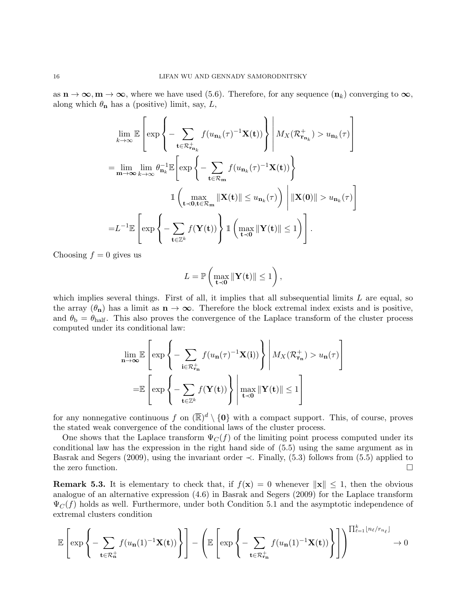as  $n \to \infty$ ,  $m \to \infty$ , where we have used (5.6). Therefore, for any sequence  $(n_k)$  converging to  $\infty$ , along which  $\theta_{\mathbf{n}}$  has a (positive) limit, say, L,

$$
\lim_{k \to \infty} \mathbb{E} \left[ \exp \left\{ - \sum_{\mathbf{t} \in \mathcal{R}_{\mathbf{n}_k}^+} f(u_{\mathbf{n}_k}(\tau)^{-1} \mathbf{X}(\mathbf{t})) \right\} \middle| M_X(\mathcal{R}_{\mathbf{r}_{\mathbf{n}_k}}^+) > u_{\mathbf{n}_k}(\tau) \right]
$$
\n
$$
= \lim_{\mathbf{m} \to \infty} \lim_{k \to \infty} \theta_{\mathbf{n}_k}^{-1} \mathbb{E} \left[ \exp \left\{ - \sum_{\mathbf{t} \in \mathcal{R}_{\mathbf{m}}} f(u_{\mathbf{n}_k}(\tau)^{-1} \mathbf{X}(\mathbf{t})) \right\}
$$
\n
$$
\mathbb{1} \left( \max_{\mathbf{t} \prec \mathbf{0}, \mathbf{t} \in \mathcal{R}_{\mathbf{m}}} \|\mathbf{X}(\mathbf{t})\| \le u_{\mathbf{n}_k}(\tau) \right) \right) \|\mathbf{X}(\mathbf{0})\| > u_{\mathbf{n}_k}(\tau) \right]
$$
\n
$$
= L^{-1} \mathbb{E} \left[ \exp \left\{ - \sum_{\mathbf{t} \in \mathbb{Z}^k} f(\mathbf{Y}(\mathbf{t})) \right\} \mathbb{1} \left( \max_{\mathbf{t} \prec \mathbf{0}} \|\mathbf{Y}(\mathbf{t})\| \le 1 \right) \right].
$$

Choosing  $f = 0$  gives us

$$
L = \mathbb{P}\left(\max_{\mathbf{t} \prec \mathbf{0}} \|\mathbf{Y}(\mathbf{t})\| \le 1\right),\,
$$

which implies several things. First of all, it implies that all subsequential limits  $L$  are equal, so the array  $(\theta_n)$  has a limit as  $n \to \infty$ . Therefore the block extremal index exists and is positive, and  $\theta_{\rm b} = \theta_{\rm half}$ . This also proves the convergence of the Laplace transform of the cluster process computed under its conditional law:

$$
\lim_{n \to \infty} \mathbb{E} \left[ \exp \left\{ - \sum_{\mathbf{i} \in \mathcal{R}_{\mathbf{r}_{\mathbf{n}}}^{+}} f(u_{\mathbf{n}}(\tau)^{-1} \mathbf{X}(\mathbf{i})) \right\} \middle| M_{X}(\mathcal{R}_{\mathbf{r}_{\mathbf{n}}}^{+}) > u_{\mathbf{n}}(\tau) \right]
$$
\n
$$
= \mathbb{E} \left[ \exp \left\{ - \sum_{\mathbf{t} \in \mathbb{Z}^{k}} f(\mathbf{Y}(\mathbf{t})) \right\} \middle| \max_{\mathbf{t} \prec \mathbf{0}} \|\mathbf{Y}(\mathbf{t})\| \le 1 \right]
$$

for any nonnegative continuous f on  $(\overline{\mathbb{R}})^d \setminus \{0\}$  with a compact support. This, of course, proves the stated weak convergence of the conditional laws of the cluster process.

One shows that the Laplace transform  $\Psi_C(f)$  of the limiting point process computed under its conditional law has the expression in the right hand side of (5.5) using the same argument as in Basrak and Segers (2009), using the invariant order  $\prec$ . Finally, (5.3) follows from (5.5) applied to the zero function.

**Remark 5.3.** It is elementary to check that, if  $f(\mathbf{x}) = 0$  whenever  $\|\mathbf{x}\| \leq 1$ , then the obvious analogue of an alternative expression (4.6) in Basrak and Segers (2009) for the Laplace transform  $\Psi_C(f)$  holds as well. Furthermore, under both Condition 5.1 and the asymptotic independence of extremal clusters condition

$$
\mathbb{E}\left[\exp\left\{-\sum_{\mathbf{t}\in\mathcal{R}_n^+}f(u_{\mathbf{n}}(1)^{-1}\mathbf{X}(\mathbf{t}))\right\}\right] - \left(\mathbb{E}\left[\exp\left\{-\sum_{\mathbf{t}\in\mathcal{R}_n^+}f(u_{\mathbf{n}}(1)^{-1}\mathbf{X}(\mathbf{t}))\right\}\right]\right)^{\prod_{\ell=1}^k\lfloor n_\ell/r_{n_\ell}\rfloor}\to 0
$$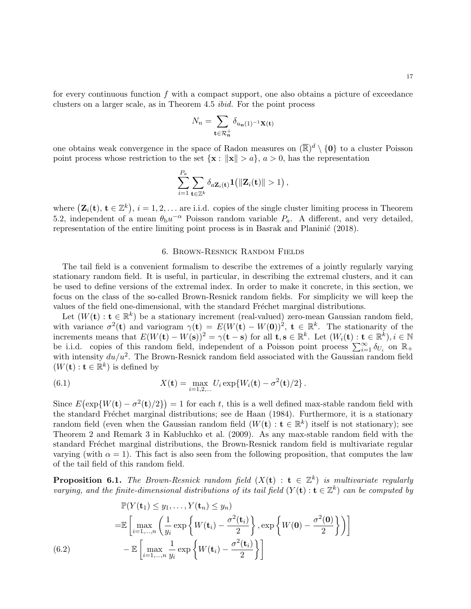17

for every continuous function  $f$  with a compact support, one also obtains a picture of exceedance clusters on a larger scale, as in Theorem 4.5 ibid. For the point process

$$
N_n = \sum_{\mathbf{t} \in \mathcal{R}_n^+} \delta_{u_n(1)^{-1} \mathbf{X}(\mathbf{t})}
$$

one obtains weak convergence in the space of Radon measures on  $(\overline{\mathbb{R}})^d \setminus \{0\}$  to a cluster Poisson point process whose restriction to the set  $\{x : ||x|| > a\}$ ,  $a > 0$ , has the representation

$$
\sum_{i=1}^{P_a} \sum_{\mathbf{t} \in \mathbb{Z}^k} \delta_{a \mathbf{Z}_i(\mathbf{t})} \mathbf{1}(|\mathbf{Z}_i(\mathbf{t})| > 1),
$$

where  $(\mathbf{Z}_i(\mathbf{t}), \mathbf{t} \in \mathbb{Z}^k), i = 1, 2, \dots$  are i.i.d. copies of the single cluster limiting process in Theorem 5.2, independent of a mean  $\theta_{\rm b}u^{-\alpha}$  Poisson random variable  $P_a$ . A different, and very detailed, representation of the entire limiting point process is in Basrak and Planinić  $(2018)$ .

#### 6. Brown-Resnick Random Fields

The tail field is a convenient formalism to describe the extremes of a jointly regularly varying stationary random field. It is useful, in particular, in describing the extremal clusters, and it can be used to define versions of the extremal index. In order to make it concrete, in this section, we focus on the class of the so-called Brown-Resnick random fields. For simplicity we will keep the values of the field one-dimensional, with the standard Fréchet marginal distributions.

Let  $(W(\mathbf{t}): \mathbf{t} \in \mathbb{R}^k)$  be a stationary increment (real-valued) zero-mean Gaussian random field, with variance  $\sigma^2(\mathbf{t})$  and variogram  $\gamma(\mathbf{t}) = E(W(\mathbf{t}) - W(\mathbf{0}))^2$ ,  $\mathbf{t} \in \mathbb{R}^k$ . The stationarity of the increments means that  $E(W(\mathbf{t}) - W(\mathbf{s}))^2 = \gamma(\mathbf{t} - \mathbf{s})$  for all  $\mathbf{t}, \mathbf{s} \in \mathbb{R}^k$ . Let  $(W_i(\mathbf{t}) : \mathbf{t} \in \mathbb{R}^k)$ ,  $i \in \mathbb{N}$ be i.i.d. copies of this random field, independent of a Poisson point process  $\sum_{i=1}^{\infty} \delta_{U_i}$  on  $\mathbb{R}_+$ with intensity  $du/u^2$ . The Brown-Resnick random field associated with the Gaussian random field  $(W(\mathbf{t}): \mathbf{t} \in \mathbb{R}^k)$  is defined by

(6.1) 
$$
X(\mathbf{t}) = \max_{i=1,2,...} U_i \exp\{W_i(\mathbf{t}) - \sigma^2(\mathbf{t})/2\}.
$$

Since  $E(\exp\{W(t) - \sigma^2(t)/2\}) = 1$  for each t, this is a well defined max-stable random field with the standard Fréchet marginal distributions; see de Haan (1984). Furthermore, it is a stationary random field (even when the Gaussian random field  $(W(\mathbf{t}): \mathbf{t} \in \mathbb{R}^k)$  itself is not stationary); see Theorem 2 and Remark 3 in Kabluchko et al. (2009). As any max-stable random field with the standard Fréchet marginal distributions, the Brown-Resnick random field is multivariate regular varying (with  $\alpha = 1$ ). This fact is also seen from the following proposition, that computes the law of the tail field of this random field.

**Proposition 6.1.** The Brown-Resnick random field  $(X(t) : t \in \mathbb{Z}^k)$  is multivariate regularly varying, and the finite-dimensional distributions of its tail field  $(Y(\mathbf{t}) : \mathbf{t} \in \mathbb{Z}^k)$  can be computed by

$$
\mathbb{P}(Y(\mathbf{t}_1) \leq y_1, \dots, Y(\mathbf{t}_n) \leq y_n)
$$
\n
$$
= \mathbb{E}\left[\max_{i=1,\dots,n} \left(\frac{1}{y_i} \exp\left\{W(\mathbf{t}_i) - \frac{\sigma^2(\mathbf{t}_i)}{2}\right\}, \exp\left\{W(\mathbf{0}) - \frac{\sigma^2(\mathbf{0})}{2}\right\}\right)\right]
$$
\n(6.2)\n
$$
- \mathbb{E}\left[\max_{i=1,\dots,n} \frac{1}{y_i} \exp\left\{W(\mathbf{t}_i) - \frac{\sigma^2(\mathbf{t}_i)}{2}\right\}\right]
$$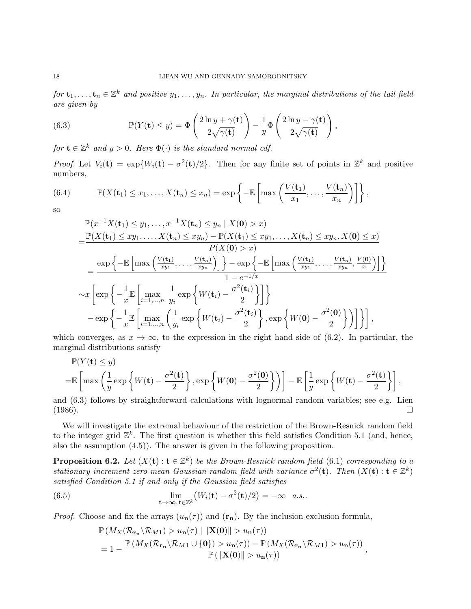for  $\mathbf{t}_1,\ldots,\mathbf{t}_n\in\mathbb{Z}^k$  and positive  $y_1,\ldots,y_n$ . In particular, the marginal distributions of the tail field are given by

(6.3) 
$$
\mathbb{P}(Y(\mathbf{t}) \leq y) = \Phi\left(\frac{2\ln y + \gamma(\mathbf{t})}{2\sqrt{\gamma(\mathbf{t})}}\right) - \frac{1}{y}\Phi\left(\frac{2\ln y - \gamma(\mathbf{t})}{2\sqrt{\gamma(\mathbf{t})}}\right),
$$

for  $\mathbf{t} \in \mathbb{Z}^k$  and  $y > 0$ . Here  $\Phi(\cdot)$  is the standard normal cdf.

*Proof.* Let  $V_i(\mathbf{t}) = \exp\{W_i(\mathbf{t}) - \sigma^2(\mathbf{t})/2\}$ . Then for any finite set of points in  $\mathbb{Z}^k$  and positive numbers,

(6.4) 
$$
\mathbb{P}(X(\mathbf{t}_1) \leq x_1, \ldots, X(\mathbf{t}_n) \leq x_n) = \exp\left\{-\mathbb{E}\left[\max\left(\frac{V(\mathbf{t}_1)}{x_1}, \ldots, \frac{V(\mathbf{t}_n)}{x_n}\right)\right]\right\},\right\}
$$

so

$$
\mathbb{P}(x^{-1}X(\mathbf{t}_{1}) \leq y_{1},...,x^{-1}X(\mathbf{t}_{n}) \leq y_{n} | X(\mathbf{0}) > x)
$$
\n
$$
= \frac{\mathbb{P}(X(\mathbf{t}_{1}) \leq xy_{1},...,X(\mathbf{t}_{n}) \leq xy_{n}) - \mathbb{P}(X(\mathbf{t}_{1}) \leq xy_{1},...,X(\mathbf{t}_{n}) \leq xy_{n}, X(\mathbf{0}) \leq x)}{P(X(\mathbf{0}) > x)}
$$
\n
$$
= \frac{\exp\left\{-\mathbb{E}\left[\max\left(\frac{V(\mathbf{t}_{1})}{xy_{1}},...,\frac{V(\mathbf{t}_{n})}{xy_{n}}\right)\right]\right\} - \exp\left\{-\mathbb{E}\left[\max\left(\frac{V(\mathbf{t}_{1})}{xy_{1}},...,\frac{V(\mathbf{t}_{n})}{xy_{n}},\frac{V(\mathbf{0})}{x}\right)\right]\right\}}{1 - e^{-1/x}}
$$
\n
$$
\sim x \left[\exp\left\{-\frac{1}{x}\mathbb{E}\left[\max_{i=1,...,n} \frac{1}{y_{i}} \exp\left\{W(\mathbf{t}_{i}) - \frac{\sigma^{2}(\mathbf{t}_{i})}{2}\right\}\right]\right\}
$$
\n
$$
- \exp\left\{-\frac{1}{x}\mathbb{E}\left[\max_{i=1,...,n} \left(\frac{1}{y_{i}} \exp\left\{W(\mathbf{t}_{i}) - \frac{\sigma^{2}(\mathbf{t}_{i})}{2}\right\}, \exp\left\{W(\mathbf{0}) - \frac{\sigma^{2}(\mathbf{0})}{2}\right\}\right)\right]\right\},
$$

which converges, as  $x \to \infty$ , to the expression in the right hand side of (6.2). In particular, the marginal distributions satisfy

$$
\mathbb{P}(Y(\mathbf{t}) \leq y)
$$
  
= $\mathbb{E}\left[\max\left(\frac{1}{y}\exp\left\{W(\mathbf{t}) - \frac{\sigma^2(\mathbf{t})}{2}\right\}, \exp\left\{W(\mathbf{0}) - \frac{\sigma^2(\mathbf{0})}{2}\right\}\right)\right] - \mathbb{E}\left[\frac{1}{y}\exp\left\{W(\mathbf{t}) - \frac{\sigma^2(\mathbf{t})}{2}\right\}\right],$ 

and (6.3) follows by straightforward calculations with lognormal random variables; see e.g. Lien  $(1986)$ .

We will investigate the extremal behaviour of the restriction of the Brown-Resnick random field to the integer grid  $\mathbb{Z}^k$ . The first question is whether this field satisfies Condition 5.1 (and, hence, also the assumption (4.5)). The answer is given in the following proposition.

**Proposition 6.2.** Let  $(X(t): t \in \mathbb{Z}^k)$  be the Brown-Resnick random field (6.1) corresponding to a stationary increment zero-mean Gaussian random field with variance  $\sigma^2(\mathbf{t})$ . Then  $(X(\mathbf{t}): \mathbf{t} \in \mathbb{Z}^k)$ satisfied Condition 5.1 if and only if the Gaussian field satisfies

(6.5) 
$$
\lim_{\mathbf{t}\to\infty,\,\mathbf{t}\in\mathbb{Z}^k} \left(W_i(\mathbf{t})-\sigma^2(\mathbf{t})/2\right)=-\infty \quad a.s..
$$

*Proof.* Choose and fix the arrays  $(u_n(\tau))$  and  $(\mathbf{r}_n)$ . By the inclusion-exclusion formula,

$$
\mathbb{P}\left(M_X(\mathcal{R}_{\mathbf{r}_{\mathbf{n}}}\backslash\mathcal{R}_{M1})>u_{\mathbf{n}}(\tau)\mid ||\mathbf{X}(\mathbf{0})||>u_{\mathbf{n}}(\tau)\right) \n=1-\frac{\mathbb{P}\left(M_X(\mathcal{R}_{\mathbf{r}_{\mathbf{n}}}\backslash\mathcal{R}_{M1}\cup\{\mathbf{0}\})>u_{\mathbf{n}}(\tau)\right)-\mathbb{P}\left(M_X(\mathcal{R}_{\mathbf{r}_{\mathbf{n}}}\backslash\mathcal{R}_{M1})>u_{\mathbf{n}}(\tau)\right)}{\mathbb{P}\left(\|\mathbf{X}(\mathbf{0})\|>u_{\mathbf{n}}(\tau)\right)},
$$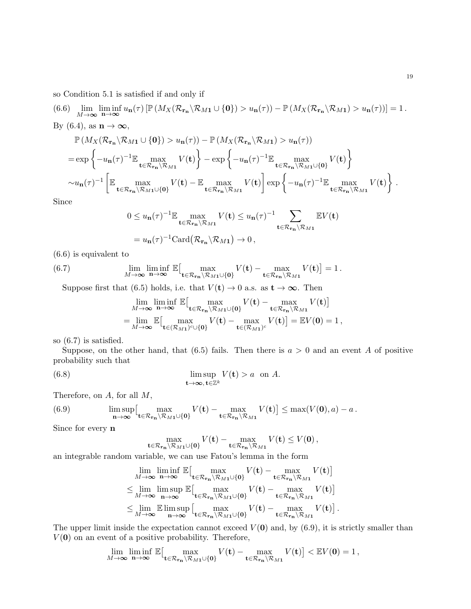so Condition 5.1 is satisfied if and only if

(6.6) 
$$
\lim_{M \to \infty} \liminf_{n \to \infty} u_n(\tau) \left[ \mathbb{P} \left( M_X(\mathcal{R}_{\mathbf{r}_n} \setminus \mathcal{R}_{M1} \cup \{0\}) > u_n(\tau) \right) - \mathbb{P} \left( M_X(\mathcal{R}_{\mathbf{r}_n} \setminus \mathcal{R}_{M1}) > u_n(\tau) \right) \right] = 1.
$$
  
By (6.4), as  $\mathbf{n} \to \infty$ ,

$$
\mathbb{P}\left(M_{X}(\mathcal{R}_{\mathbf{r}_{n}}\setminus\mathcal{R}_{M1}\cup\{\mathbf{0}\})>u_{n}(\tau)\right)-\mathbb{P}\left(M_{X}(\mathcal{R}_{\mathbf{r}_{n}}\setminus\mathcal{R}_{M1})>u_{n}(\tau)\right)
$$
\n
$$
=\exp\left\{-u_{n}(\tau)^{-1}\mathbb{E}\max_{\mathbf{t}\in\mathcal{R}_{\mathbf{r}_{n}}\setminus\mathcal{R}_{M1}}V(\mathbf{t})\right\}-\exp\left\{-u_{n}(\tau)^{-1}\mathbb{E}\max_{\mathbf{t}\in\mathcal{R}_{\mathbf{r}_{n}}\setminus\mathcal{R}_{M1}\cup\{\mathbf{0}\}}V(\mathbf{t})\right\}
$$
\n
$$
\sim u_{n}(\tau)^{-1}\left[\mathbb{E}\max_{\mathbf{t}\in\mathcal{R}_{\mathbf{r}_{n}}\setminus\mathcal{R}_{M1}\cup\{\mathbf{0}\}}V(\mathbf{t})-\mathbb{E}\max_{\mathbf{t}\in\mathcal{R}_{\mathbf{r}_{n}}\setminus\mathcal{R}_{M1}}V(\mathbf{t})\right]\exp\left\{-u_{n}(\tau)^{-1}\mathbb{E}\max_{\mathbf{t}\in\mathcal{R}_{\mathbf{r}_{n}}\setminus\mathcal{R}_{M1}}V(\mathbf{t})\right\}.
$$

Since

$$
0 \leq u_{n}(\tau)^{-1} \mathbb{E} \max_{\mathbf{t} \in \mathcal{R}_{\mathbf{r}_{n}} \backslash \mathcal{R}_{M1}} V(\mathbf{t}) \leq u_{n}(\tau)^{-1} \sum_{\mathbf{t} \in \mathcal{R}_{\mathbf{r}_{n}} \backslash \mathcal{R}_{M1}} \mathbb{E} V(\mathbf{t})
$$

$$
= u_{n}(\tau)^{-1} \text{Card} \left( \mathcal{R}_{\mathbf{r}_{n}} \backslash \mathcal{R}_{M1} \right) \to 0,
$$

(6.6) is equivalent to

(6.7) 
$$
\lim_{M \to \infty} \liminf_{n \to \infty} \mathbb{E} \Big[ \max_{\mathbf{t} \in \mathcal{R}_{\mathbf{r}_n} \setminus \mathcal{R}_{M1} \cup \{0\}} V(\mathbf{t}) - \max_{\mathbf{t} \in \mathcal{R}_{\mathbf{r}_n} \setminus \mathcal{R}_{M1}} V(\mathbf{t}) \Big] = 1.
$$

Suppose first that (6.5) holds, i.e. that  $V(\mathbf{t}) \to 0$  a.s. as  $\mathbf{t} \to \infty$ . Then

$$
\lim_{M \to \infty} \liminf_{n \to \infty} \mathbb{E} \Big[ \max_{\mathbf{t} \in \mathcal{R}_{\mathbf{r}_n} \setminus \mathcal{R}_{M1} \cup \{0\}} V(\mathbf{t}) - \max_{\mathbf{t} \in \mathcal{R}_{\mathbf{r}_n} \setminus \mathcal{R}_{M1}} V(\mathbf{t}) \Big]
$$
\n
$$
= \lim_{M \to \infty} \mathbb{E} \Big[ \max_{\mathbf{t} \in (\mathcal{R}_{M1})^c \cup \{0\}} V(\mathbf{t}) - \max_{\mathbf{t} \in (\mathcal{R}_{M1})^c} V(\mathbf{t}) \Big] = \mathbb{E} V(\mathbf{0}) = 1,
$$

so (6.7) is satisfied.

Suppose, on the other hand, that (6.5) fails. Then there is  $a > 0$  and an event A of positive probability such that

(6.8) 
$$
\limsup_{\mathbf{t}\to\infty, \mathbf{t}\in\mathbb{Z}^k} V(\mathbf{t}) > a \text{ on } A.
$$

Therefore, on A, for all M,

(6.9) 
$$
\limsup_{n\to\infty}\Big[\max_{\mathbf{t}\in\mathcal{R}_{\mathbf{r}_n}\setminus\mathcal{R}_{M1}\cup\{\mathbf{0}\}}V(\mathbf{t})-\max_{\mathbf{t}\in\mathcal{R}_{\mathbf{r}_n}\setminus\mathcal{R}_{M1}}V(\mathbf{t})\Big]\leq \max(V(\mathbf{0}),a)-a.
$$

Since for every n

$$
\max_{\mathbf{t}\in\mathcal{R}_{\mathbf{r}_{\mathbf{n}}}\setminus\mathcal{R}_{M1}\cup\{\mathbf{0}\}}V(\mathbf{t})-\max_{\mathbf{t}\in\mathcal{R}_{\mathbf{r}_{\mathbf{n}}}\setminus\mathcal{R}_{M1}}V(\mathbf{t})\leq V(\mathbf{0}),
$$

an integrable random variable, we can use Fatou's lemma in the form

$$
\lim_{M\to\infty}\liminf_{n\to\infty}\mathbb{E}\left[\max_{\mathbf{t}\in\mathcal{R}_{\mathbf{r}_{n}}\setminus\mathcal{R}_{M1}\cup\{\mathbf{0}\}}V(\mathbf{t})-\max_{\mathbf{t}\in\mathcal{R}_{\mathbf{r}_{n}}\setminus\mathcal{R}_{M1}}V(\mathbf{t})\right]
$$
\n
$$
\leq \lim_{M\to\infty}\limsup_{n\to\infty}\mathbb{E}\left[\max_{\mathbf{t}\in\mathcal{R}_{\mathbf{r}_{n}}\setminus\mathcal{R}_{M1}\cup\{\mathbf{0}\}}V(\mathbf{t})-\max_{\mathbf{t}\in\mathcal{R}_{\mathbf{r}_{n}}\setminus\mathcal{R}_{M1}}V(\mathbf{t})\right]
$$
\n
$$
\leq \lim_{M\to\infty}\mathbb{E}\limsup_{n\to\infty}\left[\max_{\mathbf{t}\in\mathcal{R}_{\mathbf{r}_{n}}\setminus\mathcal{R}_{M1}\cup\{\mathbf{0}\}}V(\mathbf{t})-\max_{\mathbf{t}\in\mathcal{R}_{\mathbf{r}_{n}}\setminus\mathcal{R}_{M1}}V(\mathbf{t})\right].
$$

The upper limit inside the expectation cannot exceed  $V(0)$  and, by  $(6.9)$ , it is strictly smaller than  $V(\mathbf{0})$  on an event of a positive probability. Therefore,

$$
\lim_{M\to\infty}\liminf_{n\to\infty}\mathbb{E}\big[\max_{\mathbf{t}\in\mathcal{R}_{\mathbf{r}_{n}}\setminus\mathcal{R}_{M1}\cup\{\mathbf{0}\}}V(\mathbf{t})-\max_{\mathbf{t}\in\mathcal{R}_{\mathbf{r}_{n}}\setminus\mathcal{R}_{M1}}V(\mathbf{t})\big]<\mathbb{E}V(\mathbf{0})=1,
$$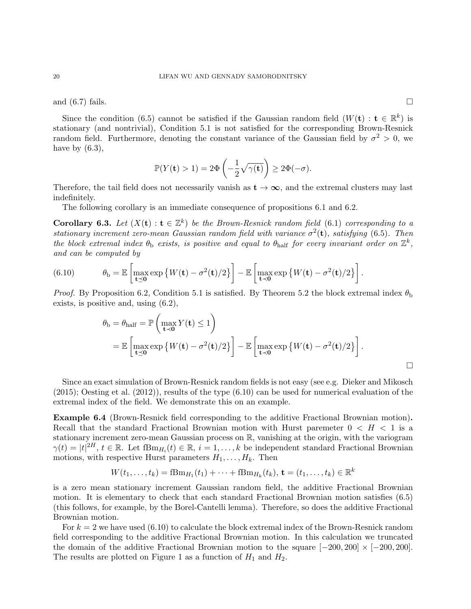and (6.7) fails.  $\square$ 

Since the condition (6.5) cannot be satisfied if the Gaussian random field  $(W(\mathbf{t}): \mathbf{t} \in \mathbb{R}^k)$  is stationary (and nontrivial), Condition 5.1 is not satisfied for the corresponding Brown-Resnick random field. Furthermore, denoting the constant variance of the Gaussian field by  $\sigma^2 > 0$ , we have by  $(6.3)$ ,

$$
\mathbb{P}(Y(\mathbf{t}) > 1) = 2\Phi\left(-\frac{1}{2}\sqrt{\gamma(\mathbf{t})}\right) \ge 2\Phi(-\sigma).
$$

Therefore, the tail field does not necessarily vanish as  $t \to \infty$ , and the extremal clusters may last indefinitely.

The following corollary is an immediate consequence of propositions 6.1 and 6.2.

**Corollary 6.3.** Let  $(X(t): t \in \mathbb{Z}^k)$  be the Brown-Resnick random field (6.1) corresponding to a stationary increment zero-mean Gaussian random field with variance  $\sigma^2(\mathbf{t})$ , satisfying (6.5). Then the block extremal index  $\theta_{\rm b}$  exists, is positive and equal to  $\theta_{\rm half}$  for every invariant order on  $\mathbb{Z}^k$ , and can be computed by

(6.10) 
$$
\theta_{\mathrm{b}} = \mathbb{E}\left[\max_{\mathbf{t}\preceq\mathbf{0}}\exp\left\{W(\mathbf{t}) - \sigma^2(\mathbf{t})/2\right\}\right] - \mathbb{E}\left[\max_{\mathbf{t}\prec\mathbf{0}}\exp\left\{W(\mathbf{t}) - \sigma^2(\mathbf{t})/2\right\}\right].
$$

*Proof.* By Proposition 6.2, Condition 5.1 is satisfied. By Theorem 5.2 the block extremal index  $\theta_{\rm b}$ exists, is positive and, using (6.2),

$$
\theta_{\rm b} = \theta_{\rm half} = \mathbb{P}\left(\max_{\mathbf{t} \prec \mathbf{0}} Y(\mathbf{t}) \le 1\right)
$$
  
=  $\mathbb{E}\left[\max_{\mathbf{t} \preceq \mathbf{0}} \exp\left\{W(\mathbf{t}) - \sigma^2(\mathbf{t})/2\right\}\right] - \mathbb{E}\left[\max_{\mathbf{t} \prec \mathbf{0}} \exp\left\{W(\mathbf{t}) - \sigma^2(\mathbf{t})/2\right\}\right].$ 

Since an exact simulation of Brown-Resnick random fields is not easy (see e.g. Dieker and Mikosch  $(2015)$ ; Oesting et al.  $(2012)$ ), results of the type  $(6.10)$  can be used for numerical evaluation of the extremal index of the field. We demonstrate this on an example.

Example 6.4 (Brown-Resnick field corresponding to the additive Fractional Brownian motion). Recall that the standard Fractional Brownian motion with Hurst paremeter  $0 < H < 1$  is a stationary increment zero-mean Gaussian process on R, vanishing at the origin, with the variogram  $\gamma(t) = |t|^{2H}, t \in \mathbb{R}$ . Let  $fBm_{H_i}(t) \in \mathbb{R}, i = 1, \ldots, k$  be independent standard Fractional Brownian motions, with respective Hurst parameters  $H_1, \ldots, H_k$ . Then

$$
W(t_1, ..., t_k) = fBm_{H_1}(t_1) + \cdots + fBm_{H_k}(t_k), \mathbf{t} = (t_1, ..., t_k) \in \mathbb{R}^k
$$

is a zero mean stationary increment Gaussian random field, the additive Fractional Brownian motion. It is elementary to check that each standard Fractional Brownian motion satisfies (6.5) (this follows, for example, by the Borel-Cantelli lemma). Therefore, so does the additive Fractional Brownian motion.

For  $k = 2$  we have used  $(6.10)$  to calculate the block extremal index of the Brown-Resnick random field corresponding to the additive Fractional Brownian motion. In this calculation we truncated the domain of the additive Fractional Brownian motion to the square  $[-200, 200] \times [-200, 200]$ . The results are plotted on Figure 1 as a function of  $H_1$  and  $H_2$ .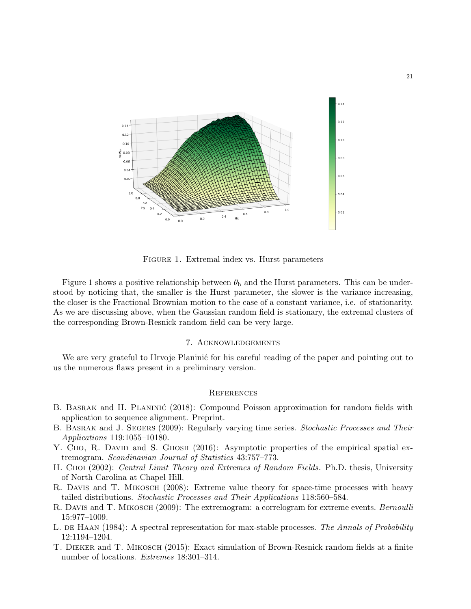

Figure 1. Extremal index vs. Hurst parameters

Figure 1 shows a positive relationship between  $\theta_b$  and the Hurst parameters. This can be understood by noticing that, the smaller is the Hurst parameter, the slower is the variance increasing, the closer is the Fractional Brownian motion to the case of a constant variance, i.e. of stationarity. As we are discussing above, when the Gaussian random field is stationary, the extremal clusters of the corresponding Brown-Resnick random field can be very large.

#### 7. Acknowledgements

We are very grateful to Hrvoje Planinić for his careful reading of the paper and pointing out to us the numerous flaws present in a preliminary version.

#### **REFERENCES**

- B. BASRAK and H. PLANINIĆ (2018): Compound Poisson approximation for random fields with application to sequence alignment. Preprint.
- B. BASRAK and J. SEGERS (2009): Regularly varying time series. Stochastic Processes and Their Applications 119:1055–10180.
- Y. Cho, R. David and S. Ghosh (2016): Asymptotic properties of the empirical spatial extremogram. Scandinavian Journal of Statistics 43:757–773.
- H. Choi (2002): Central Limit Theory and Extremes of Random Fields. Ph.D. thesis, University of North Carolina at Chapel Hill.
- R. DAVIS and T. MIKOSCH (2008): Extreme value theory for space-time processes with heavy tailed distributions. Stochastic Processes and Their Applications 118:560–584.
- R. DAVIS and T. MIKOSCH (2009): The extremogram: a correlogram for extreme events. Bernoulli 15:977–1009.
- L. DE HAAN (1984): A spectral representation for max-stable processes. The Annals of Probability 12:1194–1204.
- T. Dieker and T. Mikosch (2015): Exact simulation of Brown-Resnick random fields at a finite number of locations. Extremes 18:301–314.